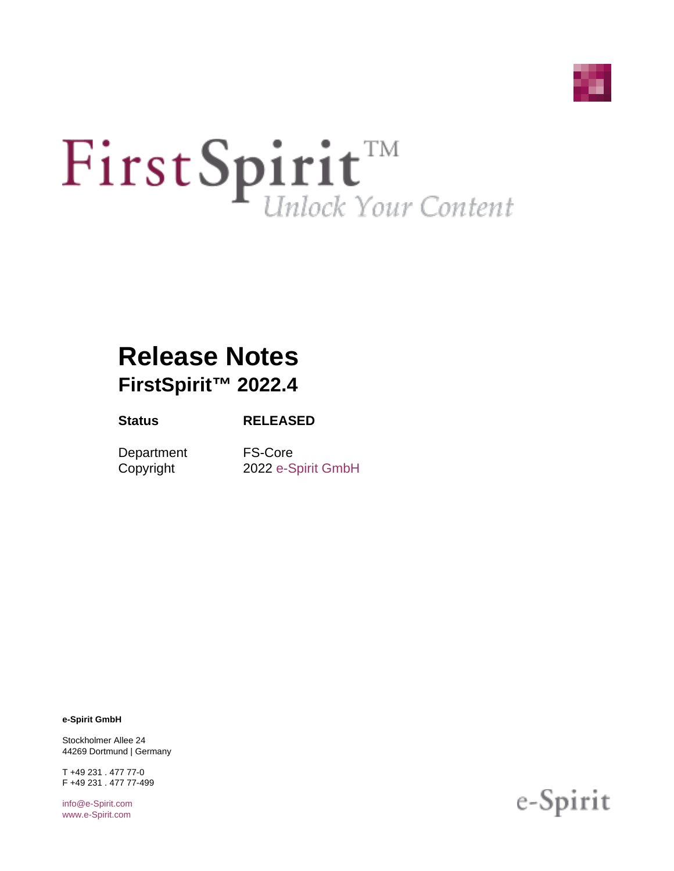

# First Spirit<sup>TM</sup>

# **Release Notes FirstSpirit™ 2022.4**

#### **Status RELEASED**

Department FS-Core

Copyright 2022 [e-Spirit GmbH](http://www.e-Spirit.com)

**e-Spirit GmbH**

Stockholmer Allee 24 44269 Dortmund | Germany

T +49 231 . 477 77-0 F +49 231 . 477 77-499

[info@e-Spirit.com](mailto:info@e-Spirit.com) [www.e-Spirit.com](http://www.e-Spirit.com)

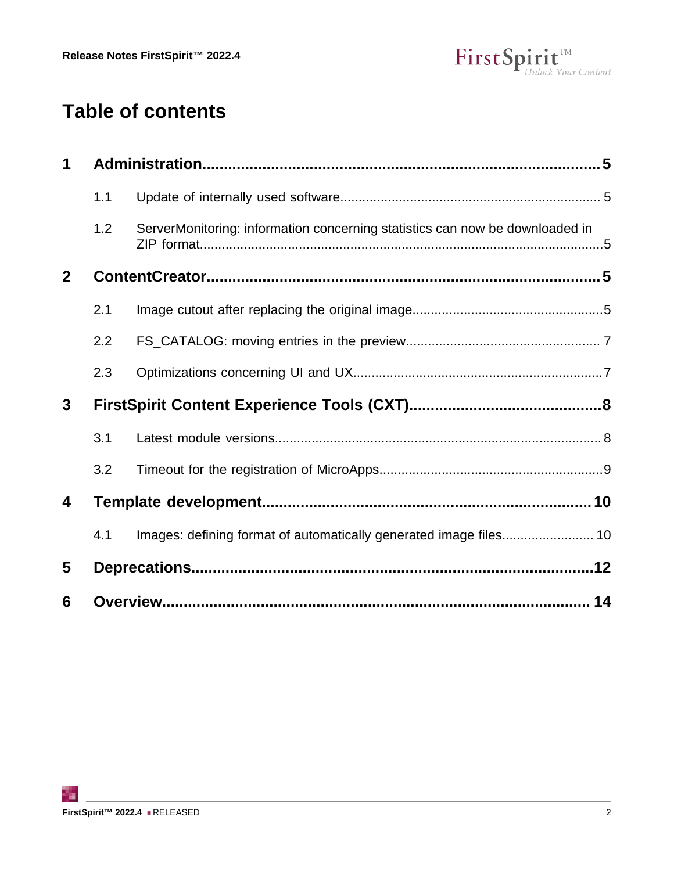

# **Table of contents**

| 1            |     |                                                                              |  |
|--------------|-----|------------------------------------------------------------------------------|--|
|              | 1.1 |                                                                              |  |
|              | 1.2 | ServerMonitoring: information concerning statistics can now be downloaded in |  |
| $\mathbf{2}$ |     |                                                                              |  |
|              | 2.1 |                                                                              |  |
|              | 2.2 |                                                                              |  |
|              | 2.3 |                                                                              |  |
| 3            |     |                                                                              |  |
|              | 3.1 |                                                                              |  |
|              | 3.2 |                                                                              |  |
| 4            |     |                                                                              |  |
|              | 4.1 | Images: defining format of automatically generated image files 10            |  |
| 5            |     |                                                                              |  |
| 6            |     |                                                                              |  |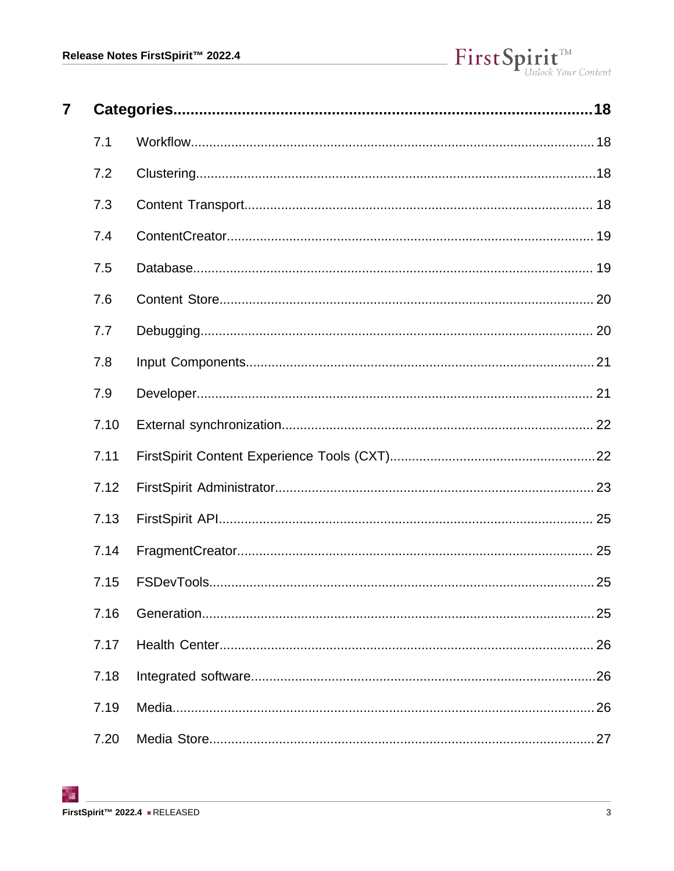| 7 |      |     |
|---|------|-----|
|   | 7.1  |     |
|   | 7.2  |     |
|   | 7.3  |     |
|   | 7.4  |     |
|   | 7.5  |     |
|   | 7.6  |     |
|   | 7.7  |     |
|   | 7.8  |     |
|   | 7.9  |     |
|   | 7.10 |     |
|   | 7.11 |     |
|   | 7.12 |     |
|   | 7.13 |     |
|   | 7.14 |     |
|   | 7.15 |     |
|   | 7.16 | 25  |
|   | 7.17 |     |
|   | 7.18 | .26 |
|   | 7.19 | 26  |
|   | 7.20 |     |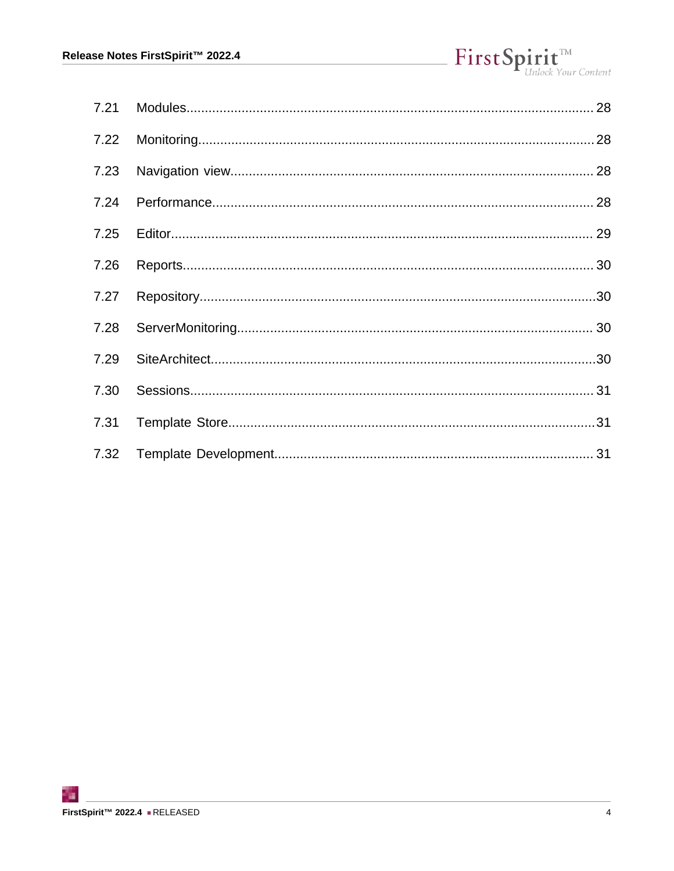| 7.22 |  |
|------|--|
| 7.23 |  |
| 7.24 |  |
| 7.25 |  |
| 7.26 |  |
| 7.27 |  |
| 7.28 |  |
| 7.29 |  |
| 7.30 |  |
| 7.31 |  |
| 7.32 |  |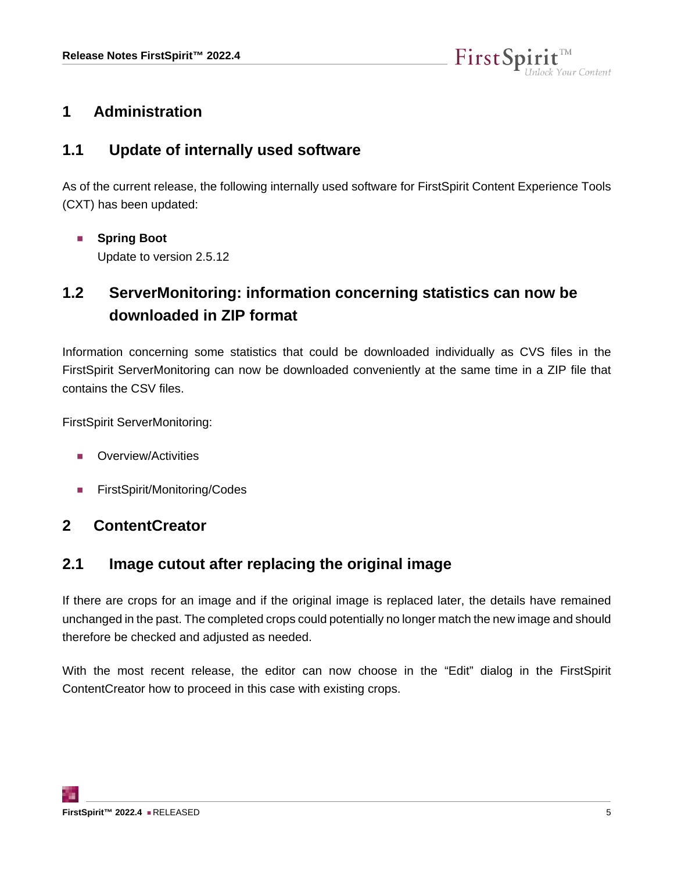

## <span id="page-4-0"></span>**1 Administration**

## <span id="page-4-1"></span>**1.1 Update of internally used software**

As of the current release, the following internally used software for FirstSpirit Content Experience Tools (CXT) has been updated:

■ **Spring Boot** Update to version 2.5.12

# <span id="page-4-2"></span>**1.2 ServerMonitoring: information concerning statistics can now be downloaded in ZIP format**

Information concerning some statistics that could be downloaded individually as CVS files in the FirstSpirit ServerMonitoring can now be downloaded conveniently at the same time in a ZIP file that contains the CSV files.

FirstSpirit ServerMonitoring:

- Overview/Activities
- FirstSpirit/Monitoring/Codes

## <span id="page-4-3"></span>**2 ContentCreator**

## <span id="page-4-4"></span>**2.1 Image cutout after replacing the original image**

If there are crops for an image and if the original image is replaced later, the details have remained unchanged in the past. The completed crops could potentially no longer match the new image and should therefore be checked and adjusted as needed.

With the most recent release, the editor can now choose in the "Edit" dialog in the FirstSpirit ContentCreator how to proceed in this case with existing crops.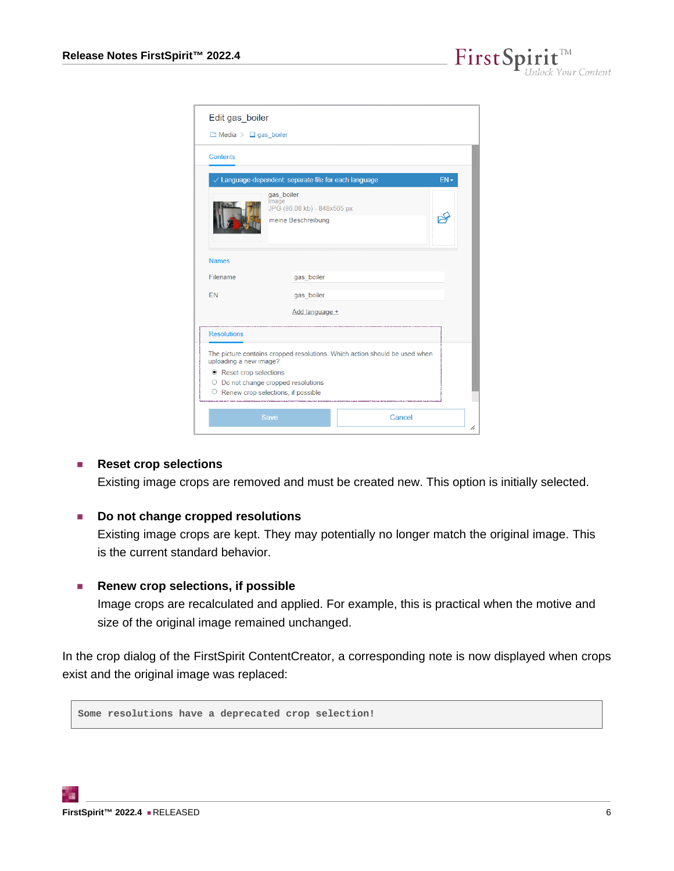FirstSpi  $\mathbf{1}$ t $\mathbf{t}$ <sup>138</sup><br>ock Your Content

| Edit gas_boiler                                                                                                                 |                                                                          |        |        |
|---------------------------------------------------------------------------------------------------------------------------------|--------------------------------------------------------------------------|--------|--------|
| $\Box$ Media $\angle$ $\Box$ gas boiler                                                                                         |                                                                          |        |        |
| Contents                                                                                                                        |                                                                          |        |        |
|                                                                                                                                 | $\vee$ Language-dependent: separate file for each language               |        | $EN -$ |
|                                                                                                                                 | gas boiler<br>Image<br>JPG (86.08 kb) - 848x565 px<br>meine Beschreibung |        |        |
| <b>Names</b>                                                                                                                    |                                                                          |        |        |
| Filename                                                                                                                        | gas boiler                                                               |        |        |
| <b>FN</b>                                                                                                                       | gas boiler                                                               |        |        |
|                                                                                                                                 | Add language +                                                           |        |        |
| <b>Resolutions</b>                                                                                                              |                                                                          |        |        |
| The picture contains cropped resolutions. Which action should be used when<br>uploading a new image?<br>● Reset crop selections |                                                                          |        |        |
| O Do not change cropped resolutions                                                                                             |                                                                          |        |        |
| $\circ$ Renew crop selections, if possible                                                                                      |                                                                          |        |        |
|                                                                                                                                 | Save                                                                     | Cancel |        |

#### ■ **Reset crop selections**

Existing image crops are removed and must be created new. This option is initially selected.

#### ■ **Do not change cropped resolutions**

Existing image crops are kept. They may potentially no longer match the original image. This is the current standard behavior.

#### ■ **Renew crop selections, if possible**

Image crops are recalculated and applied. For example, this is practical when the motive and size of the original image remained unchanged.

In the crop dialog of the FirstSpirit ContentCreator, a corresponding note is now displayed when crops exist and the original image was replaced:

**Some resolutions have a deprecated crop selection!**

94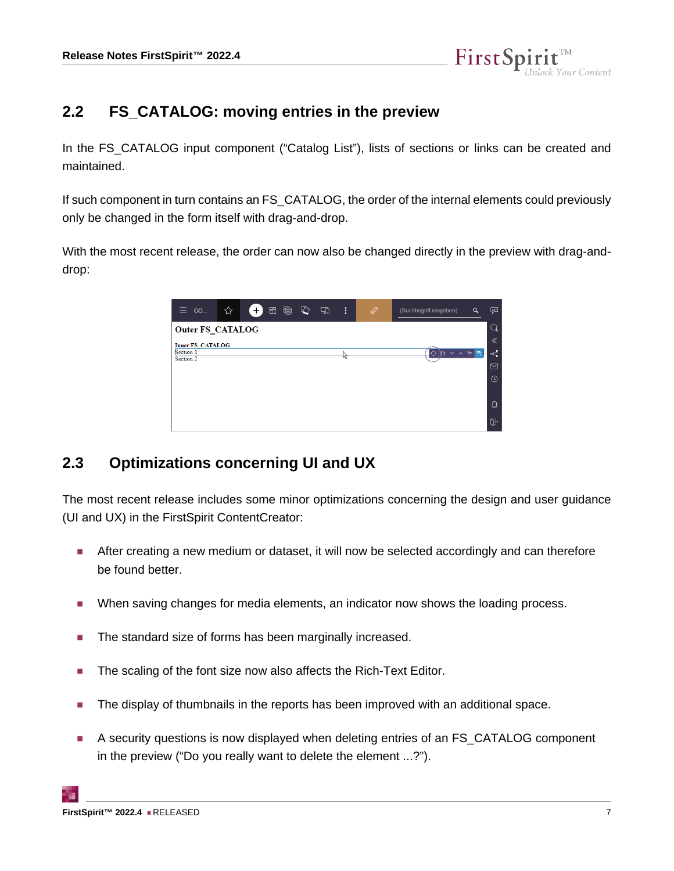

## <span id="page-6-0"></span>**2.2 FS\_CATALOG: moving entries in the preview**

In the FS\_CATALOG input component ("Catalog List"), lists of sections or links can be created and maintained.

If such component in turn contains an FS\_CATALOG, the order of the internal elements could previously only be changed in the form itself with drag-and-drop.

With the most recent release, the order can now also be changed directly in the preview with drag-anddrop:



# <span id="page-6-1"></span>**2.3 Optimizations concerning UI and UX**

The most recent release includes some minor optimizations concerning the design and user guidance (UI and UX) in the FirstSpirit ContentCreator:

- After creating a new medium or dataset, it will now be selected accordingly and can therefore be found better.
- When saving changes for media elements, an indicator now shows the loading process.
- The standard size of forms has been marginally increased.
- The scaling of the font size now also affects the Rich-Text Editor.
- The display of thumbnails in the reports has been improved with an additional space.
- A security questions is now displayed when deleting entries of an FS\_CATALOG component in the preview ("Do you really want to delete the element ...?").

94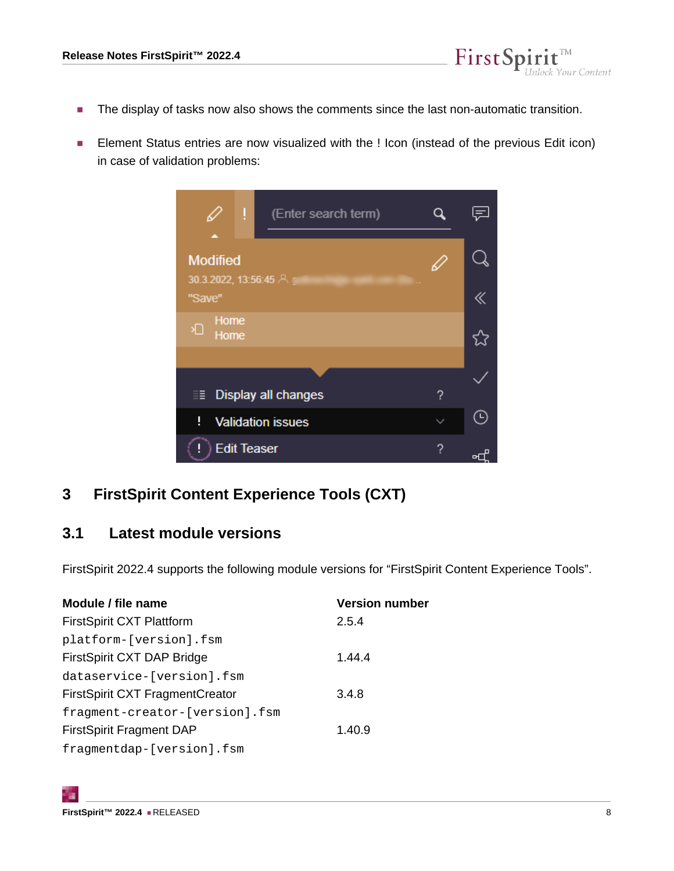

■ Element Status entries are now visualized with the ! Icon (instead of the previous Edit icon) in case of validation problems:

FirstSpi

ock Your Content



# <span id="page-7-0"></span>**3 FirstSpirit Content Experience Tools (CXT)**

## <span id="page-7-1"></span>**3.1 Latest module versions**

FirstSpirit 2022.4 supports the following module versions for "FirstSpirit Content Experience Tools".

| <b>Version number</b> |
|-----------------------|
| 2.5.4                 |
|                       |
| 1.44.4                |
|                       |
| 3.4.8                 |
|                       |
| 1.40.9                |
|                       |
|                       |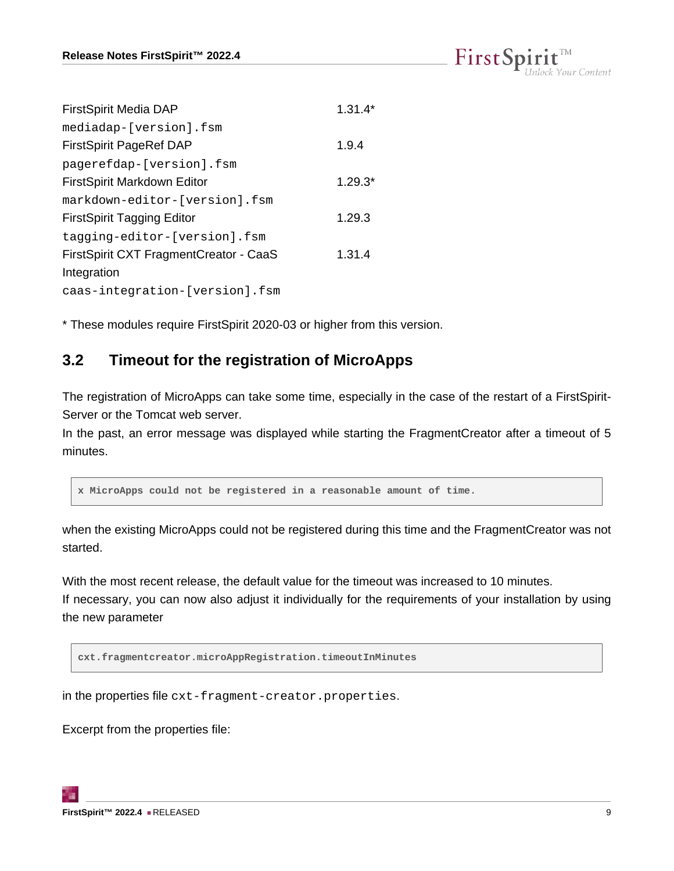| $\text{FirstSplit}_{\textit{Unlock Your Content}}^{\textit{TM}}$ |  |  |
|------------------------------------------------------------------|--|--|
|                                                                  |  |  |

| <b>FirstSpirit Media DAP</b>           | $1.31.4*$ |
|----------------------------------------|-----------|
| mediadap-[version].fsm                 |           |
| <b>FirstSpirit PageRef DAP</b>         | 1.9.4     |
| pagerefdap-[version].fsm               |           |
| FirstSpirit Markdown Editor            | $1.29.3*$ |
| markdown-editor-[version].fsm          |           |
| <b>FirstSpirit Tagging Editor</b>      | 1.29.3    |
| tagging-editor-[version].fsm           |           |
| FirstSpirit CXT FragmentCreator - CaaS | 1,31.4    |
| Integration                            |           |
| caas-integration-[version].fsm         |           |

\* These modules require FirstSpirit 2020-03 or higher from this version.

## <span id="page-8-0"></span>**3.2 Timeout for the registration of MicroApps**

The registration of MicroApps can take some time, especially in the case of the restart of a FirstSpirit-Server or the Tomcat web server.

In the past, an error message was displayed while starting the FragmentCreator after a timeout of 5 minutes.

**x MicroApps could not be registered in a reasonable amount of time.**

when the existing MicroApps could not be registered during this time and the FragmentCreator was not started.

With the most recent release, the default value for the timeout was increased to 10 minutes. If necessary, you can now also adjust it individually for the requirements of your installation by using the new parameter

**cxt.fragmentcreator.microAppRegistration.timeoutInMinutes**

in the properties file cxt-fragment-creator.properties.

Excerpt from the properties file: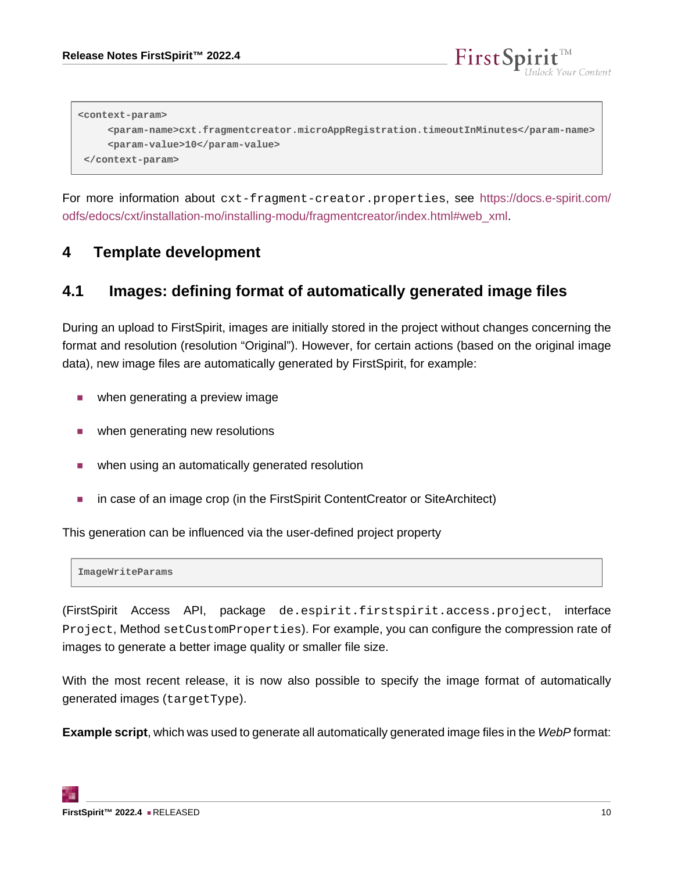

**<context-param> <param-name>cxt.fragmentcreator.microAppRegistration.timeoutInMinutes</param-name> <param-value>10</param-value> </context-param>**

For more information about cxt-fragment-creator.properties, see [https://docs.e-spirit.com/](https://docs.e-spirit.com/odfs/edocs/cxt/installation-mo/installing-modu/fragmentcreator/index.html#web_xml) [odfs/edocs/cxt/installation-mo/installing-modu/fragmentcreator/index.html#web\\_xml](https://docs.e-spirit.com/odfs/edocs/cxt/installation-mo/installing-modu/fragmentcreator/index.html#web_xml).

## <span id="page-9-0"></span>**4 Template development**

#### <span id="page-9-1"></span>**4.1 Images: defining format of automatically generated image files**

During an upload to FirstSpirit, images are initially stored in the project without changes concerning the format and resolution (resolution "Original"). However, for certain actions (based on the original image data), new image files are automatically generated by FirstSpirit, for example:

- when generating a preview image
- when generating new resolutions
- when using an automatically generated resolution
- in case of an image crop (in the FirstSpirit ContentCreator or SiteArchitect)

This generation can be influenced via the user-defined project property

**ImageWriteParams**

(FirstSpirit Access API, package de.espirit.firstspirit.access.project, interface Project, Method setCustomProperties). For example, you can configure the compression rate of images to generate a better image quality or smaller file size.

With the most recent release, it is now also possible to specify the image format of automatically generated images (targetType).

**Example script**, which was used to generate all automatically generated image files in the WebP format: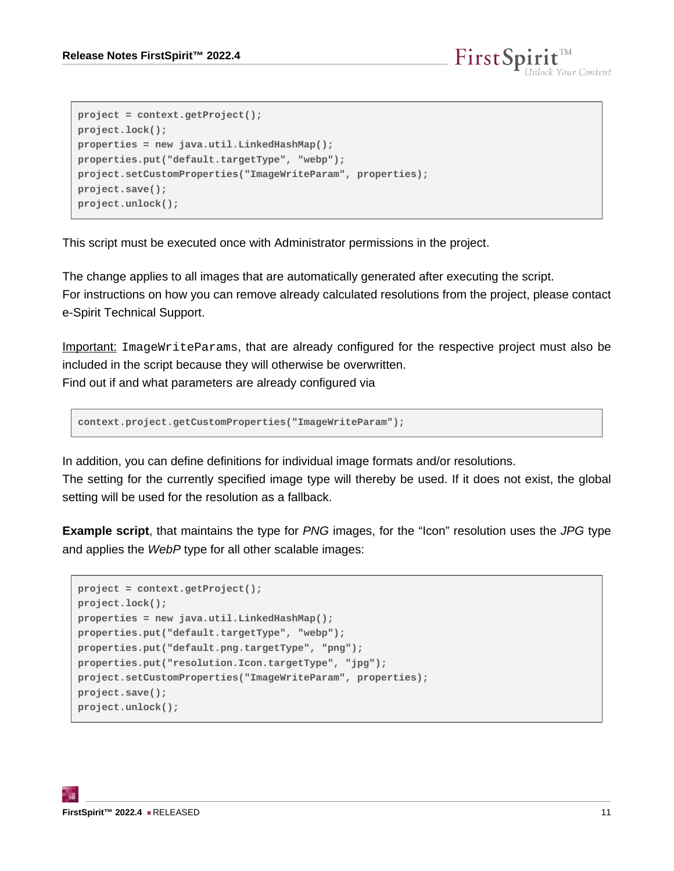```
project = context.getProject();
project.lock();
properties = new java.util.LinkedHashMap();
properties.put("default.targetType", "webp");
project.setCustomProperties("ImageWriteParam", properties);
project.save();
project.unlock();
```
This script must be executed once with Administrator permissions in the project.

The change applies to all images that are automatically generated after executing the script. For instructions on how you can remove already calculated resolutions from the project, please contact e-Spirit Technical Support.

Important: ImageWriteParams, that are already configured for the respective project must also be included in the script because they will otherwise be overwritten. Find out if and what parameters are already configured via

**context.project.getCustomProperties("ImageWriteParam");**

In addition, you can define definitions for individual image formats and/or resolutions.

The setting for the currently specified image type will thereby be used. If it does not exist, the global setting will be used for the resolution as a fallback.

**Example script**, that maintains the type for PNG images, for the "Icon" resolution uses the JPG type and applies the WebP type for all other scalable images:

```
project = context.getProject();
project.lock();
properties = new java.util.LinkedHashMap();
properties.put("default.targetType", "webp");
properties.put("default.png.targetType", "png");
properties.put("resolution.Icon.targetType", "jpg");
project.setCustomProperties("ImageWriteParam", properties);
project.save();
project.unlock();
```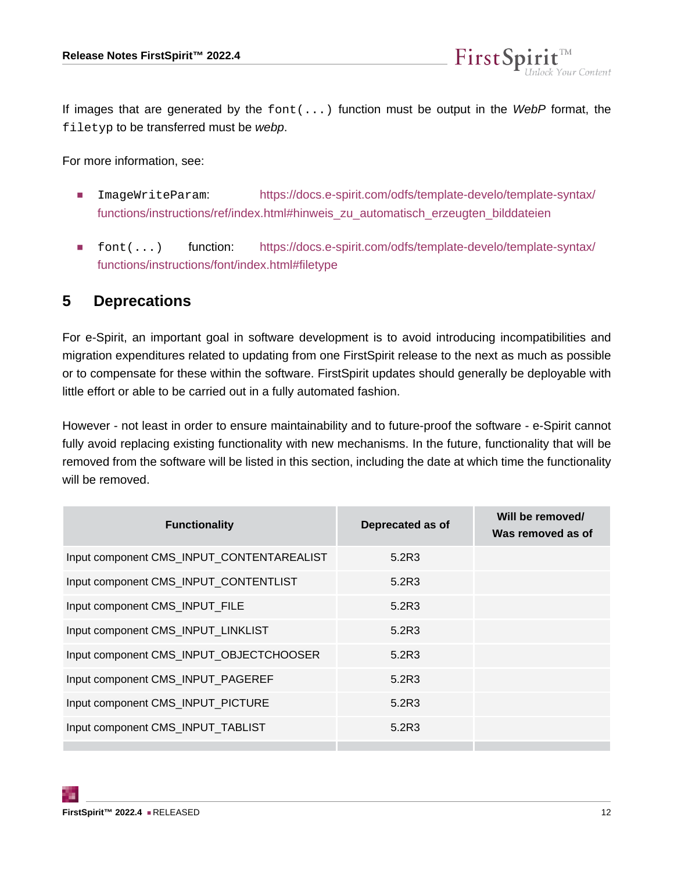

If images that are generated by the  $font( \ldots )$  function must be output in the WebP format, the filetyp to be transferred must be webp.

For more information, see:

- ImageWriteParam: [https://docs.e-spirit.com/odfs/template-develo/template-syntax/](https://docs.e-spirit.com/odfs/template-develo/template-syntax/functions/instructions/ref/index.html#hinweis_zu_automatisch_erzeugten_bilddateien) [functions/instructions/ref/index.html#hinweis\\_zu\\_automatisch\\_erzeugten\\_bilddateien](https://docs.e-spirit.com/odfs/template-develo/template-syntax/functions/instructions/ref/index.html#hinweis_zu_automatisch_erzeugten_bilddateien)
- font(...) function: [https://docs.e-spirit.com/odfs/template-develo/template-syntax/](https://docs.e-spirit.com/odfs/template-develo/template-syntax/functions/instructions/font/index.html#filetype) [functions/instructions/font/index.html#filetype](https://docs.e-spirit.com/odfs/template-develo/template-syntax/functions/instructions/font/index.html#filetype)

#### <span id="page-11-0"></span>**5 Deprecations**

For e-Spirit, an important goal in software development is to avoid introducing incompatibilities and migration expenditures related to updating from one FirstSpirit release to the next as much as possible or to compensate for these within the software. FirstSpirit updates should generally be deployable with little effort or able to be carried out in a fully automated fashion.

However - not least in order to ensure maintainability and to future-proof the software - e-Spirit cannot fully avoid replacing existing functionality with new mechanisms. In the future, functionality that will be removed from the software will be listed in this section, including the date at which time the functionality will be removed.

| Deprecated as of | Will be removed/<br>Was removed as of |
|------------------|---------------------------------------|
| 5.2R3            |                                       |
| 5.2R3            |                                       |
| 5.2R3            |                                       |
| 5.2R3            |                                       |
| 5.2R3            |                                       |
| 5.2R3            |                                       |
| 5.2R3            |                                       |
| 5.2R3            |                                       |
|                  |                                       |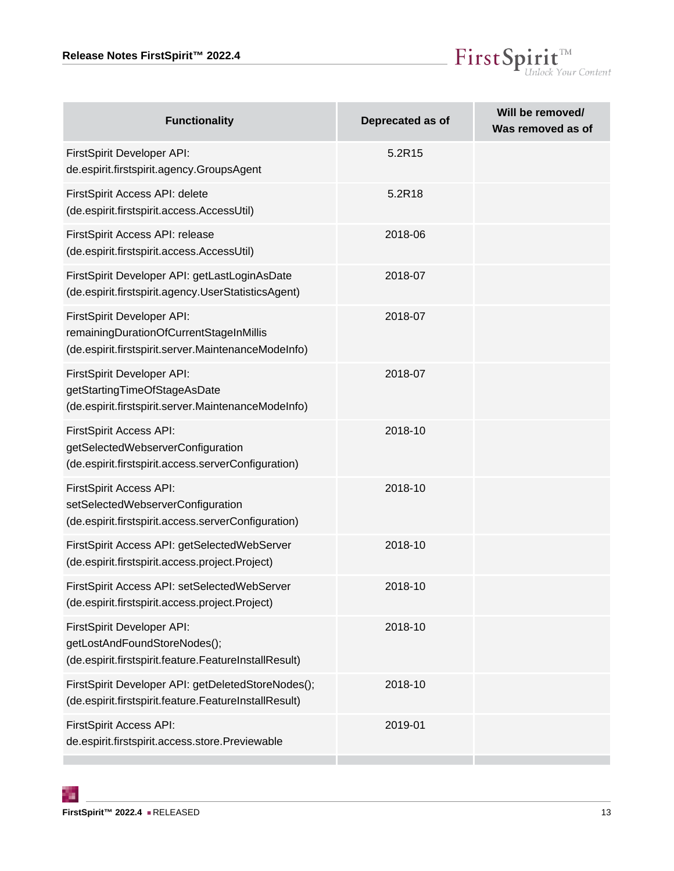

| <b>Functionality</b>                                                                                                         | Deprecated as of | Will be removed/<br>Was removed as of |
|------------------------------------------------------------------------------------------------------------------------------|------------------|---------------------------------------|
| FirstSpirit Developer API:<br>de.espirit.firstspirit.agency.GroupsAgent                                                      | 5.2R15           |                                       |
| FirstSpirit Access API: delete<br>(de.espirit.firstspirit.access.AccessUtil)                                                 | 5.2R18           |                                       |
| FirstSpirit Access API: release<br>(de.espirit.firstspirit.access.AccessUtil)                                                | 2018-06          |                                       |
| FirstSpirit Developer API: getLastLoginAsDate<br>(de.espirit.firstspirit.agency.UserStatisticsAgent)                         | 2018-07          |                                       |
| FirstSpirit Developer API:<br>remainingDurationOfCurrentStageInMillis<br>(de.espirit.firstspirit.server.MaintenanceModeInfo) | 2018-07          |                                       |
| FirstSpirit Developer API:<br>getStartingTimeOfStageAsDate<br>(de.espirit.firstspirit.server.MaintenanceModeInfo)            | 2018-07          |                                       |
| FirstSpirit Access API:<br>getSelectedWebserverConfiguration<br>(de.espirit.firstspirit.access.serverConfiguration)          | 2018-10          |                                       |
| FirstSpirit Access API:<br>setSelectedWebserverConfiguration<br>(de.espirit.firstspirit.access.serverConfiguration)          | 2018-10          |                                       |
| FirstSpirit Access API: getSelectedWebServer<br>(de.espirit.firstspirit.access.project.Project)                              | 2018-10          |                                       |
| FirstSpirit Access API: setSelectedWebServer<br>(de.espirit.firstspirit.access.project.Project)                              | 2018-10          |                                       |
| FirstSpirit Developer API:<br>getLostAndFoundStoreNodes();<br>(de.espirit.firstspirit.feature.FeatureInstallResult)          | 2018-10          |                                       |
| FirstSpirit Developer API: getDeletedStoreNodes();<br>(de.espirit.firstspirit.feature.FeatureInstallResult)                  | 2018-10          |                                       |
| FirstSpirit Access API:<br>de.espirit.firstspirit.access.store.Previewable                                                   | 2019-01          |                                       |

τ.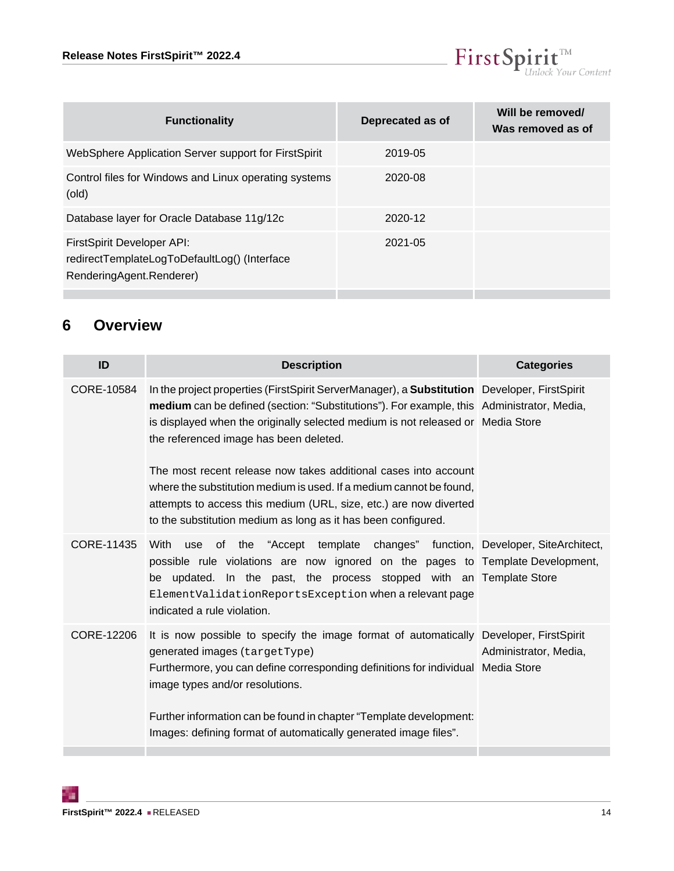

| Deprecated as of | Will be removed/<br>Was removed as of |
|------------------|---------------------------------------|
| 2019-05          |                                       |
| 2020-08          |                                       |
| 2020-12          |                                       |
| $2021 - 05$      |                                       |
|                  |                                       |

# <span id="page-13-0"></span>**6 Overview**

<span id="page-13-3"></span><span id="page-13-2"></span><span id="page-13-1"></span>

| ID         | <b>Description</b>                                                                                                                                                                                                                                                                                                                                                                                                                                                                                                                                                                                            | <b>Categories</b>     |
|------------|---------------------------------------------------------------------------------------------------------------------------------------------------------------------------------------------------------------------------------------------------------------------------------------------------------------------------------------------------------------------------------------------------------------------------------------------------------------------------------------------------------------------------------------------------------------------------------------------------------------|-----------------------|
| CORE-10584 | In the project properties (FirstSpirit ServerManager), a <b>Substitution</b> Developer, FirstSpirit<br>medium can be defined (section: "Substitutions"). For example, this Administrator, Media,<br>is displayed when the originally selected medium is not released or Media Store<br>the referenced image has been deleted.<br>The most recent release now takes additional cases into account<br>where the substitution medium is used. If a medium cannot be found.<br>attempts to access this medium (URL, size, etc.) are now diverted<br>to the substitution medium as long as it has been configured. |                       |
| CORE-11435 | of the "Accept template changes" function, Developer, SiteArchitect,<br>With<br>use<br>possible rule violations are now ignored on the pages to Template Development,<br>be updated. In the past, the process stopped with an Template Store<br>ElementValidationReportsException when a relevant page<br>indicated a rule violation.                                                                                                                                                                                                                                                                         |                       |
| CORE-12206 | It is now possible to specify the image format of automatically Developer, FirstSpirit<br>generated images (targetType)<br>Furthermore, you can define corresponding definitions for individual Media Store<br>image types and/or resolutions.<br>Further information can be found in chapter "Template development:<br>Images: defining format of automatically generated image files".                                                                                                                                                                                                                      | Administrator, Media, |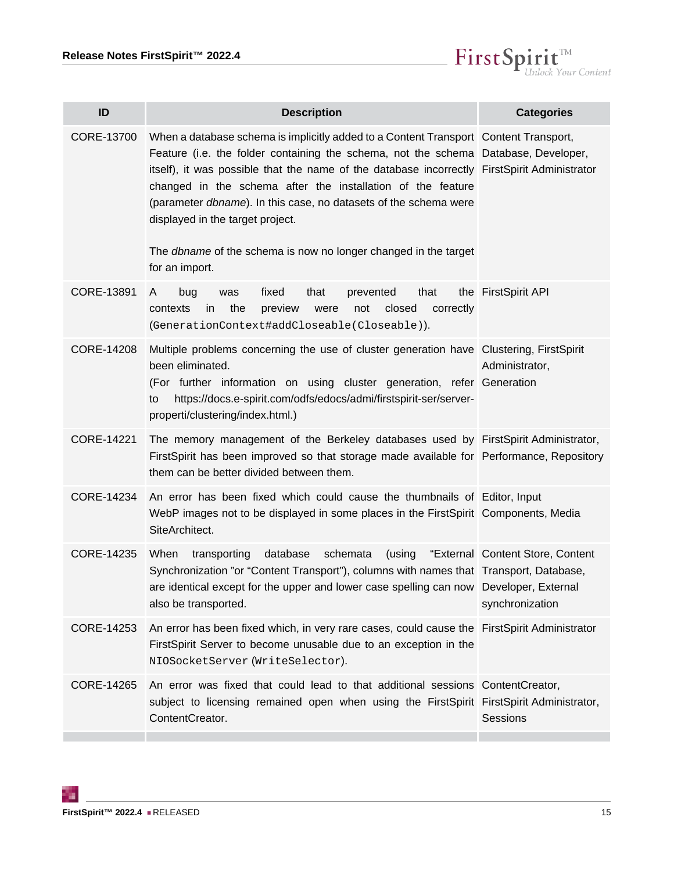

<span id="page-14-7"></span><span id="page-14-6"></span><span id="page-14-5"></span><span id="page-14-4"></span><span id="page-14-3"></span><span id="page-14-2"></span><span id="page-14-1"></span><span id="page-14-0"></span>

| ID         | <b>Description</b>                                                                                                                                                                                                                                                                                                                                                                                                                                                                                                                             | <b>Categories</b>                                   |
|------------|------------------------------------------------------------------------------------------------------------------------------------------------------------------------------------------------------------------------------------------------------------------------------------------------------------------------------------------------------------------------------------------------------------------------------------------------------------------------------------------------------------------------------------------------|-----------------------------------------------------|
| CORE-13700 | When a database schema is implicitly added to a Content Transport Content Transport,<br>Feature (i.e. the folder containing the schema, not the schema Database, Developer,<br>itself), it was possible that the name of the database incorrectly FirstSpirit Administrator<br>changed in the schema after the installation of the feature<br>(parameter dbname). In this case, no datasets of the schema were<br>displayed in the target project.<br>The <i>dbname</i> of the schema is now no longer changed in the target<br>for an import. |                                                     |
| CORE-13891 | bug<br>fixed<br>that<br>prevented<br>that<br>was<br>A<br>in<br>the<br>closed<br>contexts<br>preview<br>not<br>correctly<br>were<br>(GenerationContext#addCloseable(Closeable)).                                                                                                                                                                                                                                                                                                                                                                | the FirstSpirit API                                 |
| CORE-14208 | Multiple problems concerning the use of cluster generation have Clustering, FirstSpirit<br>been eliminated.<br>(For further information on using cluster generation, refer Generation<br>https://docs.e-spirit.com/odfs/edocs/admi/firstspirit-ser/server-<br>to<br>properti/clustering/index.html.)                                                                                                                                                                                                                                           | Administrator,                                      |
| CORE-14221 | The memory management of the Berkeley databases used by FirstSpirit Administrator,<br>FirstSpirit has been improved so that storage made available for Performance, Repository<br>them can be better divided between them.                                                                                                                                                                                                                                                                                                                     |                                                     |
| CORE-14234 | An error has been fixed which could cause the thumbnails of Editor, Input<br>WebP images not to be displayed in some places in the FirstSpirit Components, Media<br>SiteArchitect.                                                                                                                                                                                                                                                                                                                                                             |                                                     |
| CORE-14235 | When transporting<br>database<br>schemata<br>(using<br>Synchronization "or "Content Transport"), columns with names that Transport, Database,<br>are identical except for the upper and lower case spelling can now Developer, External<br>also be transported.                                                                                                                                                                                                                                                                                | "External Content Store, Content<br>synchronization |
| CORE-14253 | An error has been fixed which, in very rare cases, could cause the FirstSpirit Administrator<br>FirstSpirit Server to become unusable due to an exception in the<br>NIOSocketServer (WriteSelector).                                                                                                                                                                                                                                                                                                                                           |                                                     |
| CORE-14265 | An error was fixed that could lead to that additional sessions ContentCreator,<br>subject to licensing remained open when using the FirstSpirit FirstSpirit Administrator,<br>ContentCreator.                                                                                                                                                                                                                                                                                                                                                  | Sessions                                            |
|            |                                                                                                                                                                                                                                                                                                                                                                                                                                                                                                                                                |                                                     |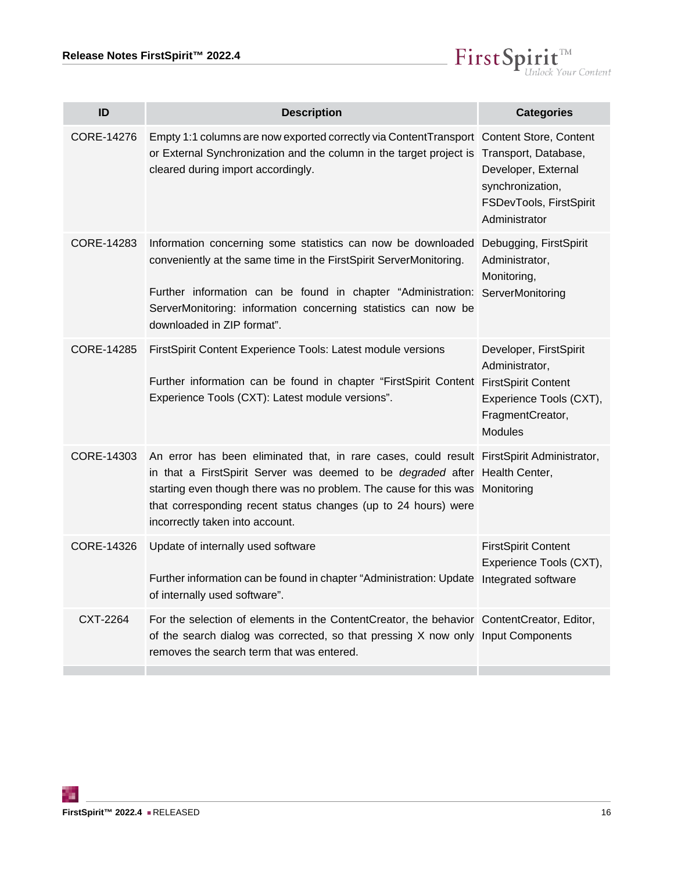

<span id="page-15-5"></span><span id="page-15-4"></span><span id="page-15-3"></span><span id="page-15-2"></span><span id="page-15-1"></span><span id="page-15-0"></span>

| ID         | <b>Description</b>                                                                                                                                                                                                                                                                                                                                                   | <b>Categories</b>                                                                                         |
|------------|----------------------------------------------------------------------------------------------------------------------------------------------------------------------------------------------------------------------------------------------------------------------------------------------------------------------------------------------------------------------|-----------------------------------------------------------------------------------------------------------|
| CORE-14276 | Empty 1:1 columns are now exported correctly via ContentTransport Content Store, Content<br>or External Synchronization and the column in the target project is Transport, Database,<br>cleared during import accordingly.                                                                                                                                           | Developer, External<br>synchronization,<br>FSDevTools, FirstSpirit<br>Administrator                       |
| CORE-14283 | Information concerning some statistics can now be downloaded Debugging, FirstSpirit<br>conveniently at the same time in the FirstSpirit ServerMonitoring.<br>Further information can be found in chapter "Administration: ServerMonitoring<br>ServerMonitoring: information concerning statistics can now be<br>downloaded in ZIP format".                           | Administrator,<br>Monitoring,                                                                             |
| CORE-14285 | FirstSpirit Content Experience Tools: Latest module versions<br>Further information can be found in chapter "FirstSpirit Content FirstSpirit Content<br>Experience Tools (CXT): Latest module versions".                                                                                                                                                             | Developer, FirstSpirit<br>Administrator,<br>Experience Tools (CXT),<br>FragmentCreator,<br><b>Modules</b> |
| CORE-14303 | An error has been eliminated that, in rare cases, could result FirstSpirit Administrator,<br>in that a FirstSpirit Server was deemed to be <i>degraded</i> after Health Center,<br>starting even though there was no problem. The cause for this was Monitoring<br>that corresponding recent status changes (up to 24 hours) were<br>incorrectly taken into account. |                                                                                                           |
| CORE-14326 | Update of internally used software<br>Further information can be found in chapter "Administration: Update Integrated software<br>of internally used software".                                                                                                                                                                                                       | <b>FirstSpirit Content</b><br>Experience Tools (CXT),                                                     |
| CXT-2264   | For the selection of elements in the ContentCreator, the behavior ContentCreator, Editor,<br>of the search dialog was corrected, so that pressing X now only Input Components<br>removes the search term that was entered.                                                                                                                                           |                                                                                                           |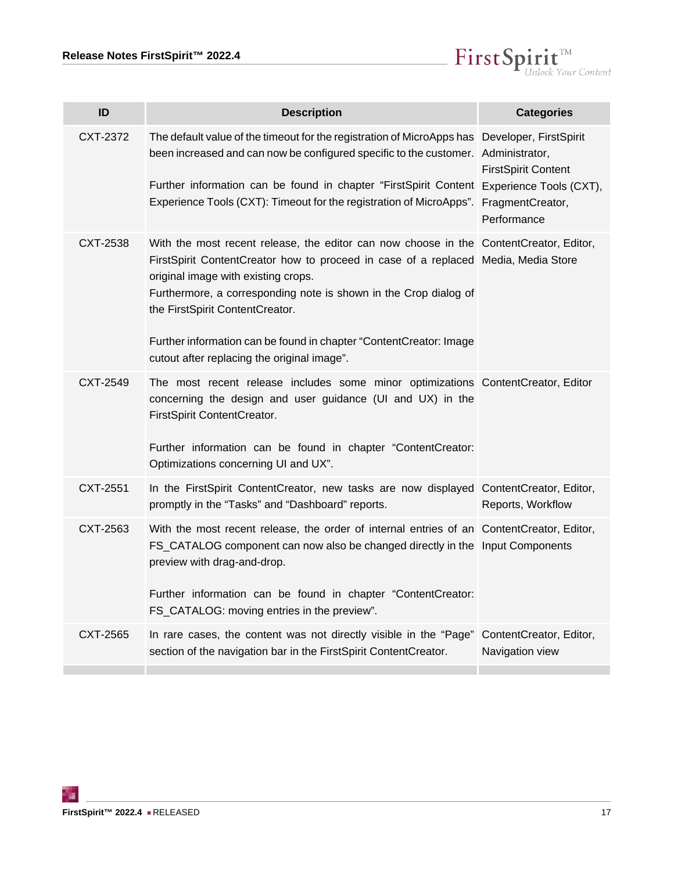

<span id="page-16-5"></span><span id="page-16-4"></span><span id="page-16-3"></span><span id="page-16-2"></span><span id="page-16-1"></span><span id="page-16-0"></span>

| ID              | <b>Description</b>                                                                                                                                                                                                                                                                                                                                                                                                                              | <b>Categories</b>                          |
|-----------------|-------------------------------------------------------------------------------------------------------------------------------------------------------------------------------------------------------------------------------------------------------------------------------------------------------------------------------------------------------------------------------------------------------------------------------------------------|--------------------------------------------|
| CXT-2372        | The default value of the timeout for the registration of MicroApps has Developer, FirstSpirit<br>been increased and can now be configured specific to the customer. Administrator,<br>Further information can be found in chapter "FirstSpirit Content Experience Tools (CXT),                                                                                                                                                                  | <b>FirstSpirit Content</b>                 |
|                 | Experience Tools (CXT): Timeout for the registration of MicroApps".                                                                                                                                                                                                                                                                                                                                                                             | FragmentCreator,<br>Performance            |
| CXT-2538        | With the most recent release, the editor can now choose in the ContentCreator, Editor,<br>FirstSpirit ContentCreator how to proceed in case of a replaced Media, Media Store<br>original image with existing crops.<br>Furthermore, a corresponding note is shown in the Crop dialog of<br>the FirstSpirit ContentCreator.<br>Further information can be found in chapter "ContentCreator: Image<br>cutout after replacing the original image". |                                            |
| CXT-2549        | The most recent release includes some minor optimizations ContentCreator, Editor<br>concerning the design and user guidance (UI and UX) in the<br>FirstSpirit ContentCreator.<br>Further information can be found in chapter "ContentCreator:<br>Optimizations concerning UI and UX".                                                                                                                                                           |                                            |
| <b>CXT-2551</b> | In the FirstSpirit ContentCreator, new tasks are now displayed ContentCreator, Editor,<br>promptly in the "Tasks" and "Dashboard" reports.                                                                                                                                                                                                                                                                                                      | Reports, Workflow                          |
| CXT-2563        | With the most recent release, the order of internal entries of an ContentCreator, Editor,<br>FS_CATALOG component can now also be changed directly in the Input Components<br>preview with drag-and-drop.<br>Further information can be found in chapter "ContentCreator:<br>FS_CATALOG: moving entries in the preview".                                                                                                                        |                                            |
| CXT-2565        | In rare cases, the content was not directly visible in the "Page"<br>section of the navigation bar in the FirstSpirit ContentCreator.                                                                                                                                                                                                                                                                                                           | ContentCreator, Editor,<br>Navigation view |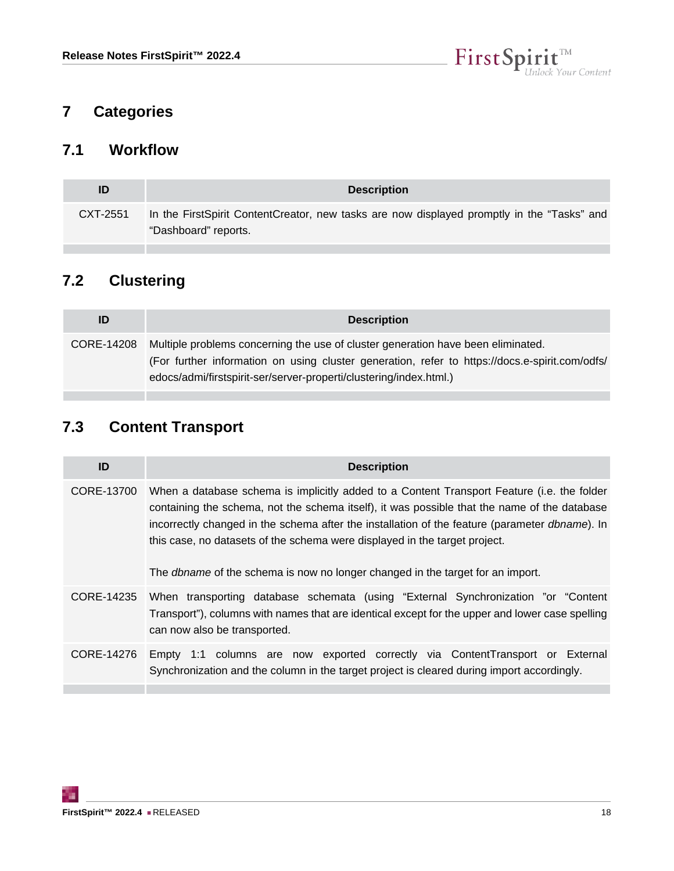

# <span id="page-17-0"></span>**7 Categories**

## <span id="page-17-1"></span>**7.1 Workflow**

| ID       | <b>Description</b>                                                                                                 |
|----------|--------------------------------------------------------------------------------------------------------------------|
| CXT-2551 | In the FirstSpirit ContentCreator, new tasks are now displayed promptly in the "Tasks" and<br>"Dashboard" reports. |

# <span id="page-17-2"></span>**7.2 Clustering**

**The State** 

| ID         | <b>Description</b>                                                                                                                                                                                                                                       |
|------------|----------------------------------------------------------------------------------------------------------------------------------------------------------------------------------------------------------------------------------------------------------|
| CORE-14208 | Multiple problems concerning the use of cluster generation have been eliminated.<br>(For further information on using cluster generation, refer to https://docs.e-spirit.com/odfs/<br>edocs/admi/firstspirit-ser/server-properti/clustering/index.html.) |

# <span id="page-17-3"></span>**7.3 Content Transport**

| ID         | <b>Description</b>                                                                                                                                                                                                                                                                                                                                                                                                                                                          |
|------------|-----------------------------------------------------------------------------------------------------------------------------------------------------------------------------------------------------------------------------------------------------------------------------------------------------------------------------------------------------------------------------------------------------------------------------------------------------------------------------|
| CORE-13700 | When a database schema is implicitly added to a Content Transport Feature (i.e. the folder<br>containing the schema, not the schema itself), it was possible that the name of the database<br>incorrectly changed in the schema after the installation of the feature (parameter <i>dbname</i> ). In<br>this case, no datasets of the schema were displayed in the target project.<br>The <i>dbname</i> of the schema is now no longer changed in the target for an import. |
| CORE-14235 | When transporting database schemata (using "External Synchronization "or "Content"<br>Transport"), columns with names that are identical except for the upper and lower case spelling<br>can now also be transported.                                                                                                                                                                                                                                                       |
| CORE-14276 | Empty 1:1 columns are now exported correctly via ContentTransport or External<br>Synchronization and the column in the target project is cleared during import accordingly.                                                                                                                                                                                                                                                                                                 |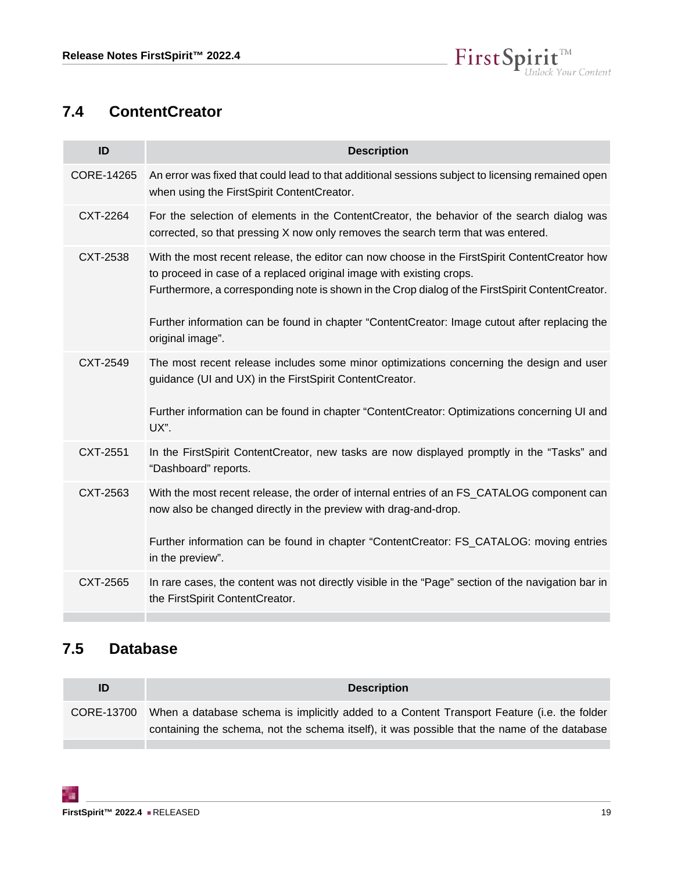

# <span id="page-18-0"></span>**7.4 ContentCreator**

| ID         | <b>Description</b>                                                                                                                                                                                                                                                                                                                                                                             |
|------------|------------------------------------------------------------------------------------------------------------------------------------------------------------------------------------------------------------------------------------------------------------------------------------------------------------------------------------------------------------------------------------------------|
| CORE-14265 | An error was fixed that could lead to that additional sessions subject to licensing remained open<br>when using the FirstSpirit ContentCreator.                                                                                                                                                                                                                                                |
| CXT-2264   | For the selection of elements in the ContentCreator, the behavior of the search dialog was<br>corrected, so that pressing X now only removes the search term that was entered.                                                                                                                                                                                                                 |
| CXT-2538   | With the most recent release, the editor can now choose in the FirstSpirit ContentCreator how<br>to proceed in case of a replaced original image with existing crops.<br>Furthermore, a corresponding note is shown in the Crop dialog of the FirstSpirit ContentCreator.<br>Further information can be found in chapter "ContentCreator: Image cutout after replacing the<br>original image". |
| CXT-2549   | The most recent release includes some minor optimizations concerning the design and user<br>guidance (UI and UX) in the FirstSpirit ContentCreator.<br>Further information can be found in chapter "ContentCreator: Optimizations concerning UI and<br>UX".                                                                                                                                    |
| CXT-2551   | In the FirstSpirit ContentCreator, new tasks are now displayed promptly in the "Tasks" and<br>"Dashboard" reports.                                                                                                                                                                                                                                                                             |
| CXT-2563   | With the most recent release, the order of internal entries of an FS_CATALOG component can<br>now also be changed directly in the preview with drag-and-drop.<br>Further information can be found in chapter "ContentCreator: FS_CATALOG: moving entries<br>in the preview".                                                                                                                   |
| CXT-2565   | In rare cases, the content was not directly visible in the "Page" section of the navigation bar in<br>the FirstSpirit ContentCreator.                                                                                                                                                                                                                                                          |

# <span id="page-18-1"></span>**7.5 Database**

| ID         | <b>Description</b>                                                                           |
|------------|----------------------------------------------------------------------------------------------|
| CORE-13700 | When a database schema is implicitly added to a Content Transport Feature (i.e. the folder   |
|            | containing the schema, not the schema itself), it was possible that the name of the database |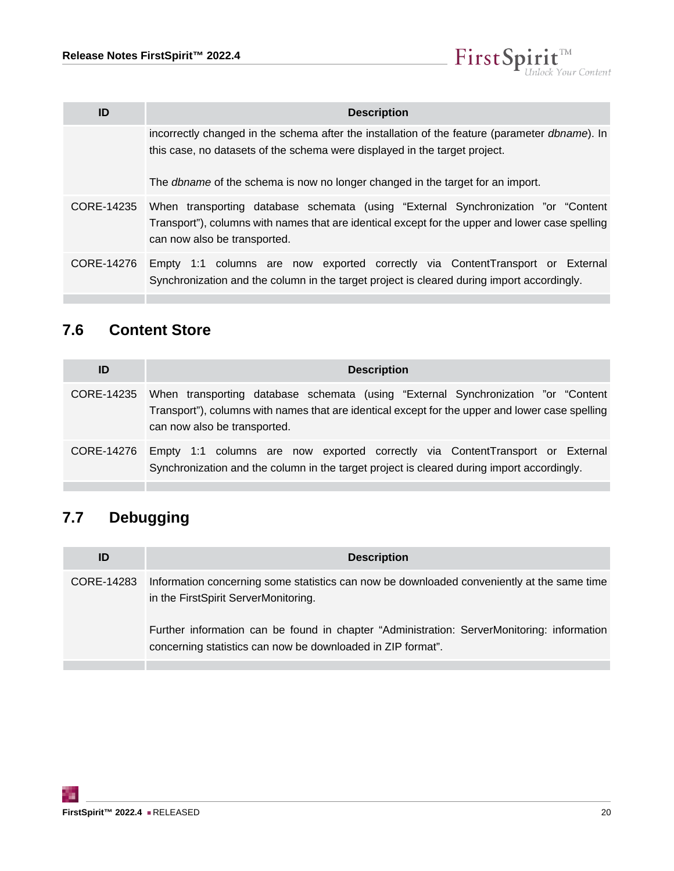| ID         | <b>Description</b>                                                                                                                                                                                                    |
|------------|-----------------------------------------------------------------------------------------------------------------------------------------------------------------------------------------------------------------------|
|            | incorrectly changed in the schema after the installation of the feature (parameter <i>dbname</i> ). In<br>this case, no datasets of the schema were displayed in the target project.                                  |
|            | The <i>dbname</i> of the schema is now no longer changed in the target for an import.                                                                                                                                 |
| CORE-14235 | When transporting database schemata (using "External Synchronization "or "Content"<br>Transport"), columns with names that are identical except for the upper and lower case spelling<br>can now also be transported. |
| CORE-14276 | Empty 1:1 columns are now exported correctly via ContentTransport or External<br>Synchronization and the column in the target project is cleared during import accordingly.                                           |

 $\label{eq: 3.1} First \textbf{Split}_{\textit{Unlock Your Content}}^{\textit{TM}}$ 

# <span id="page-19-0"></span>**7.6 Content Store**

| ID         | <b>Description</b>                                                                                                                                                                                                    |
|------------|-----------------------------------------------------------------------------------------------------------------------------------------------------------------------------------------------------------------------|
| CORE-14235 | When transporting database schemata (using "External Synchronization "or "Content"<br>Transport"), columns with names that are identical except for the upper and lower case spelling<br>can now also be transported. |
| CORE-14276 | Empty 1:1 columns are now exported correctly via ContentTransport or External<br>Synchronization and the column in the target project is cleared during import accordingly.                                           |

# <span id="page-19-1"></span>**7.7 Debugging**

| ID         | <b>Description</b>                                                                                                                                        |  |
|------------|-----------------------------------------------------------------------------------------------------------------------------------------------------------|--|
| CORE-14283 | Information concerning some statistics can now be downloaded conveniently at the same time<br>in the FirstSpirit ServerMonitoring.                        |  |
|            | Further information can be found in chapter "Administration: ServerMonitoring: information<br>concerning statistics can now be downloaded in ZIP format". |  |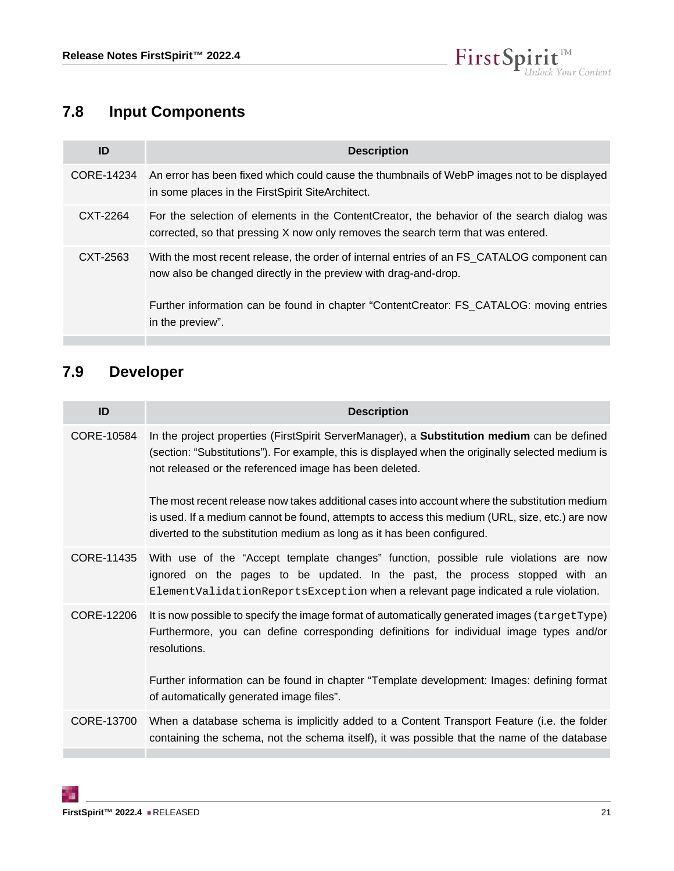

# <span id="page-20-0"></span>**7.8 Input Components**

| ID         | <b>Description</b>                                                                                                                                                                                                                                                           |
|------------|------------------------------------------------------------------------------------------------------------------------------------------------------------------------------------------------------------------------------------------------------------------------------|
| CORE-14234 | An error has been fixed which could cause the thumbnails of WebP images not to be displayed<br>in some places in the FirstSpirit SiteArchitect.                                                                                                                              |
| CXT-2264   | For the selection of elements in the ContentCreator, the behavior of the search dialog was<br>corrected, so that pressing X now only removes the search term that was entered.                                                                                               |
| CXT-2563   | With the most recent release, the order of internal entries of an FS CATALOG component can<br>now also be changed directly in the preview with drag-and-drop.<br>Further information can be found in chapter "ContentCreator: FS_CATALOG: moving entries<br>in the preview". |

# <span id="page-20-1"></span>**7.9 Developer**

| ID         | <b>Description</b>                                                                                                                                                                                                                                                        |
|------------|---------------------------------------------------------------------------------------------------------------------------------------------------------------------------------------------------------------------------------------------------------------------------|
| CORE-10584 | In the project properties (FirstSpirit ServerManager), a Substitution medium can be defined<br>(section: "Substitutions"). For example, this is displayed when the originally selected medium is<br>not released or the referenced image has been deleted.                |
|            | The most recent release now takes additional cases into account where the substitution medium<br>is used. If a medium cannot be found, attempts to access this medium (URL, size, etc.) are now<br>diverted to the substitution medium as long as it has been configured. |
| CORE-11435 | With use of the "Accept template changes" function, possible rule violations are now<br>ignored on the pages to be updated. In the past, the process stopped with an<br>ElementValidationReportsException when a relevant page indicated a rule violation.                |
| CORE-12206 | It is now possible to specify the image format of automatically generated images (targetType)<br>Furthermore, you can define corresponding definitions for individual image types and/or<br>resolutions.                                                                  |
|            | Further information can be found in chapter "Template development: Images: defining format<br>of automatically generated image files".                                                                                                                                    |
| CORE-13700 | When a database schema is implicitly added to a Content Transport Feature (i.e. the folder<br>containing the schema, not the schema itself), it was possible that the name of the database                                                                                |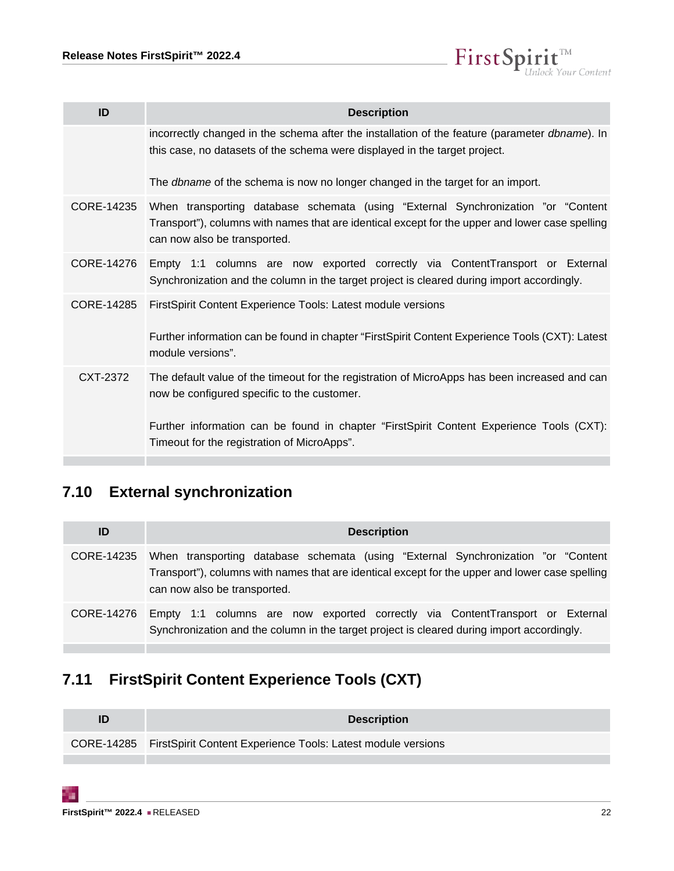

| ID         | <b>Description</b>                                                                                                                                                                                                    |
|------------|-----------------------------------------------------------------------------------------------------------------------------------------------------------------------------------------------------------------------|
|            | incorrectly changed in the schema after the installation of the feature (parameter dbname). In<br>this case, no datasets of the schema were displayed in the target project.                                          |
|            | The <i>dbname</i> of the schema is now no longer changed in the target for an import.                                                                                                                                 |
| CORE-14235 | When transporting database schemata (using "External Synchronization "or "Content"<br>Transport"), columns with names that are identical except for the upper and lower case spelling<br>can now also be transported. |
| CORE-14276 | Empty 1:1 columns are now exported correctly via ContentTransport or External<br>Synchronization and the column in the target project is cleared during import accordingly.                                           |
| CORE-14285 | FirstSpirit Content Experience Tools: Latest module versions<br>Further information can be found in chapter "FirstSpirit Content Experience Tools (CXT): Latest                                                       |
|            | module versions".                                                                                                                                                                                                     |
| CXT-2372   | The default value of the timeout for the registration of MicroApps has been increased and can<br>now be configured specific to the customer.                                                                          |
|            | Further information can be found in chapter "FirstSpirit Content Experience Tools (CXT):<br>Timeout for the registration of MicroApps".                                                                               |

# <span id="page-21-0"></span>**7.10 External synchronization**

| ID         | <b>Description</b>                                                                                                                                                                                                    |
|------------|-----------------------------------------------------------------------------------------------------------------------------------------------------------------------------------------------------------------------|
| CORE-14235 | When transporting database schemata (using "External Synchronization "or "Content"<br>Transport"), columns with names that are identical except for the upper and lower case spelling<br>can now also be transported. |
| CORE-14276 | Empty 1:1 columns are now exported correctly via ContentTransport or External<br>Synchronization and the column in the target project is cleared during import accordingly.                                           |

# <span id="page-21-1"></span>**7.11 FirstSpirit Content Experience Tools (CXT)**

| ID | <b>Description</b>                                                      |
|----|-------------------------------------------------------------------------|
|    | CORE-14285 FirstSpirit Content Experience Tools: Latest module versions |
|    |                                                                         |

9.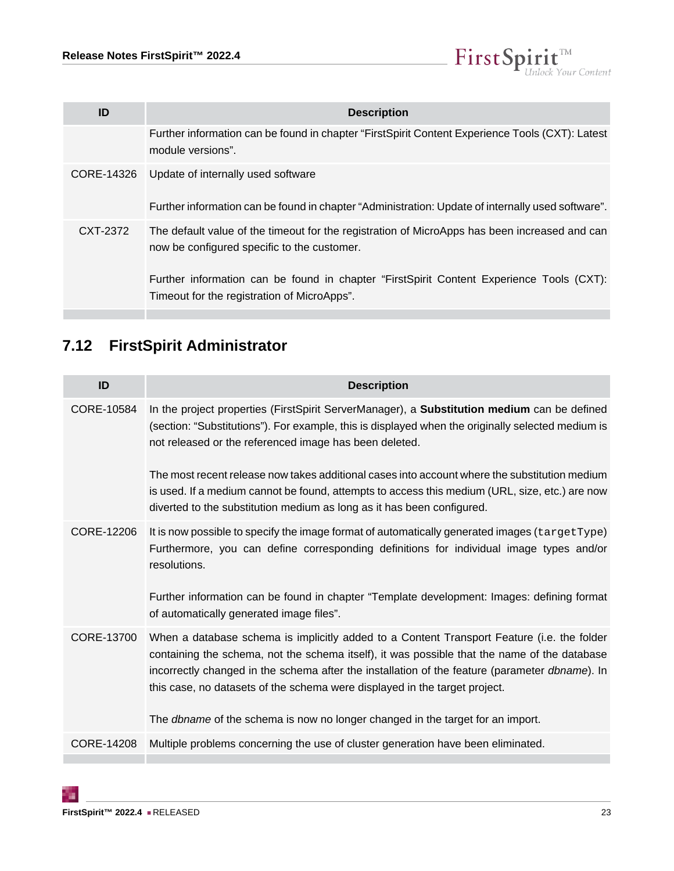

| ID       | <b>Description</b>                                                                                                                                                                                                                                                                      |
|----------|-----------------------------------------------------------------------------------------------------------------------------------------------------------------------------------------------------------------------------------------------------------------------------------------|
|          | Further information can be found in chapter "FirstSpirit Content Experience Tools (CXT): Latest<br>module versions".                                                                                                                                                                    |
|          | CORE-14326 Update of internally used software<br>Further information can be found in chapter "Administration: Update of internally used software".                                                                                                                                      |
| CXT-2372 | The default value of the timeout for the registration of MicroApps has been increased and can<br>now be configured specific to the customer.<br>Further information can be found in chapter "FirstSpirit Content Experience Tools (CXT):<br>Timeout for the registration of MicroApps". |

# <span id="page-22-0"></span>**7.12 FirstSpirit Administrator**

| ID         | <b>Description</b>                                                                                                                                                                                                                                                                                                                                                         |
|------------|----------------------------------------------------------------------------------------------------------------------------------------------------------------------------------------------------------------------------------------------------------------------------------------------------------------------------------------------------------------------------|
| CORE-10584 | In the project properties (FirstSpirit ServerManager), a Substitution medium can be defined<br>(section: "Substitutions"). For example, this is displayed when the originally selected medium is<br>not released or the referenced image has been deleted.                                                                                                                 |
|            | The most recent release now takes additional cases into account where the substitution medium<br>is used. If a medium cannot be found, attempts to access this medium (URL, size, etc.) are now<br>diverted to the substitution medium as long as it has been configured.                                                                                                  |
| CORE-12206 | It is now possible to specify the image format of automatically generated images (targetType)<br>Furthermore, you can define corresponding definitions for individual image types and/or<br>resolutions.<br>Further information can be found in chapter "Template development: Images: defining format                                                                     |
|            | of automatically generated image files".                                                                                                                                                                                                                                                                                                                                   |
| CORE-13700 | When a database schema is implicitly added to a Content Transport Feature (i.e. the folder<br>containing the schema, not the schema itself), it was possible that the name of the database<br>incorrectly changed in the schema after the installation of the feature (parameter dbname). In<br>this case, no datasets of the schema were displayed in the target project. |
|            | The <i>dbname</i> of the schema is now no longer changed in the target for an import.                                                                                                                                                                                                                                                                                      |
| CORE-14208 | Multiple problems concerning the use of cluster generation have been eliminated.                                                                                                                                                                                                                                                                                           |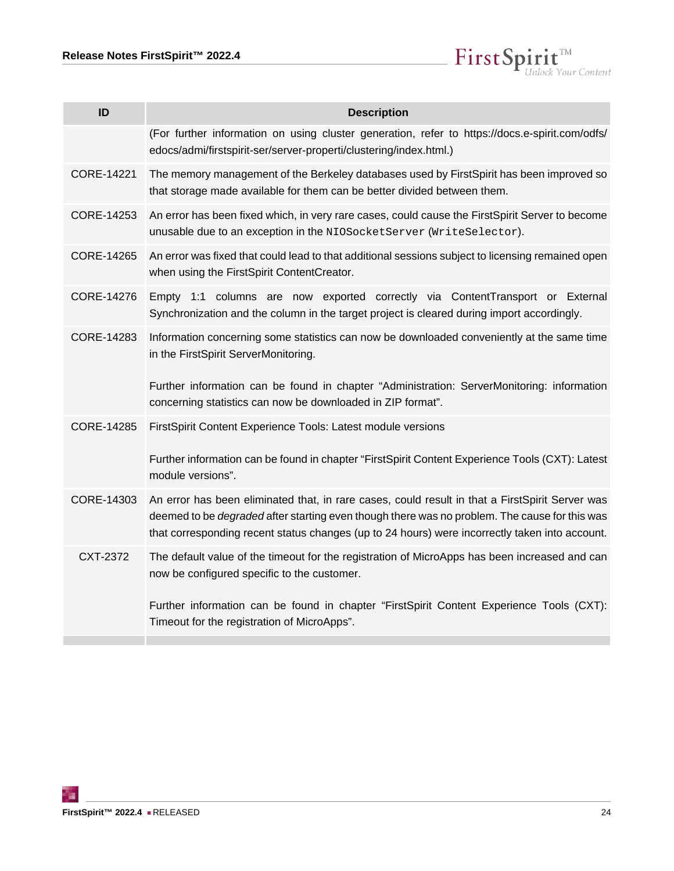$\textbf{FirstSplit}_{\textit{Unlock Your Content}}^{\textit{TM}}$ 

| ID                | <b>Description</b>                                                                                                                                                                                                                                                                                        |
|-------------------|-----------------------------------------------------------------------------------------------------------------------------------------------------------------------------------------------------------------------------------------------------------------------------------------------------------|
|                   | (For further information on using cluster generation, refer to https://docs.e-spirit.com/odfs/<br>edocs/admi/firstspirit-ser/server-properti/clustering/index.html.)                                                                                                                                      |
| CORE-14221        | The memory management of the Berkeley databases used by FirstSpirit has been improved so<br>that storage made available for them can be better divided between them.                                                                                                                                      |
| CORE-14253        | An error has been fixed which, in very rare cases, could cause the FirstSpirit Server to become<br>unusable due to an exception in the NIOSocketServer (WriteSelector).                                                                                                                                   |
| CORE-14265        | An error was fixed that could lead to that additional sessions subject to licensing remained open<br>when using the FirstSpirit ContentCreator.                                                                                                                                                           |
| CORE-14276        | Empty 1:1 columns are now exported correctly via ContentTransport or External<br>Synchronization and the column in the target project is cleared during import accordingly.                                                                                                                               |
| CORE-14283        | Information concerning some statistics can now be downloaded conveniently at the same time<br>in the FirstSpirit ServerMonitoring.<br>Further information can be found in chapter "Administration: ServerMonitoring: information                                                                          |
|                   | concerning statistics can now be downloaded in ZIP format".                                                                                                                                                                                                                                               |
| <b>CORE-14285</b> | FirstSpirit Content Experience Tools: Latest module versions                                                                                                                                                                                                                                              |
|                   | Further information can be found in chapter "FirstSpirit Content Experience Tools (CXT): Latest<br>module versions".                                                                                                                                                                                      |
| CORE-14303        | An error has been eliminated that, in rare cases, could result in that a FirstSpirit Server was<br>deemed to be <i>degraded</i> after starting even though there was no problem. The cause for this was<br>that corresponding recent status changes (up to 24 hours) were incorrectly taken into account. |
| CXT-2372          | The default value of the timeout for the registration of MicroApps has been increased and can<br>now be configured specific to the customer.                                                                                                                                                              |
|                   | Further information can be found in chapter "FirstSpirit Content Experience Tools (CXT):<br>Timeout for the registration of MicroApps".                                                                                                                                                                   |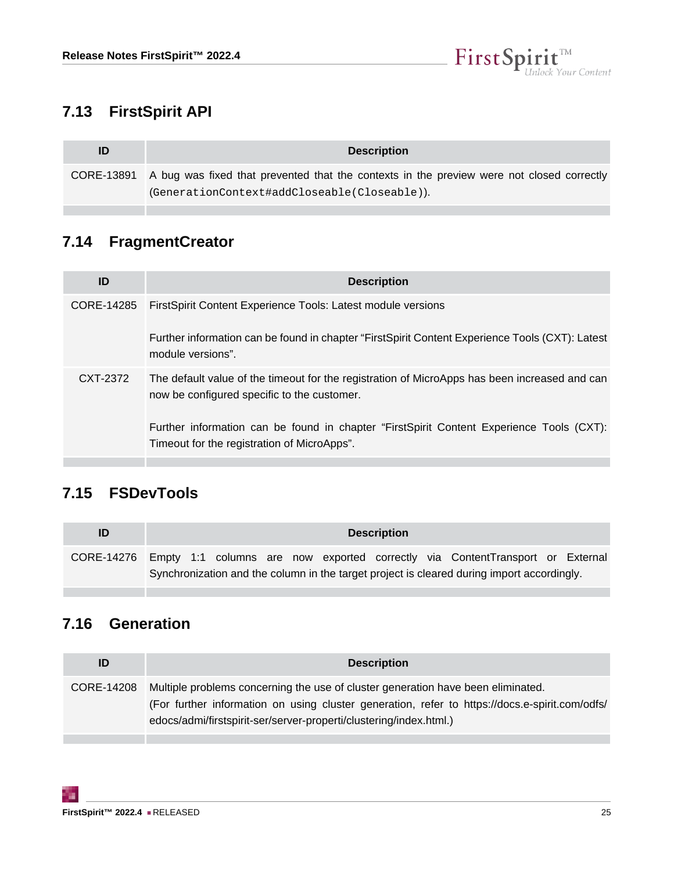

# <span id="page-24-0"></span>**7.13 FirstSpirit API**

| ID | <b>Description</b>                                                                                                                                   |
|----|------------------------------------------------------------------------------------------------------------------------------------------------------|
|    | CORE-13891 A bug was fixed that prevented that the contexts in the preview were not closed correctly<br>(GenerationContext#addCloseable(Closeable)). |

# <span id="page-24-1"></span>**7.14 FragmentCreator**

п

| ID         | <b>Description</b>                                                                                                                           |
|------------|----------------------------------------------------------------------------------------------------------------------------------------------|
| CORE-14285 | First Spirit Content Experience Tools: Latest module versions                                                                                |
|            | Further information can be found in chapter "FirstSpirit Content Experience Tools (CXT): Latest<br>module versions".                         |
| CXT-2372   | The default value of the timeout for the registration of MicroApps has been increased and can<br>now be configured specific to the customer. |
|            | Further information can be found in chapter "FirstSpirit Content Experience Tools (CXT):<br>Timeout for the registration of MicroApps".      |

# <span id="page-24-2"></span>**7.15 FSDevTools**

| ID         |  |  |  | <b>Description</b> |                                                                                            |  |
|------------|--|--|--|--------------------|--------------------------------------------------------------------------------------------|--|
| CORE-14276 |  |  |  |                    | Empty 1:1 columns are now exported correctly via ContentTransport or External              |  |
|            |  |  |  |                    | Synchronization and the column in the target project is cleared during import accordingly. |  |

# <span id="page-24-3"></span>**7.16 Generation**

| ID         | <b>Description</b>                                                                                                                                                                                                                                       |
|------------|----------------------------------------------------------------------------------------------------------------------------------------------------------------------------------------------------------------------------------------------------------|
| CORE-14208 | Multiple problems concerning the use of cluster generation have been eliminated.<br>(For further information on using cluster generation, refer to https://docs.e-spirit.com/odfs/<br>edocs/admi/firstspirit-ser/server-properti/clustering/index.html.) |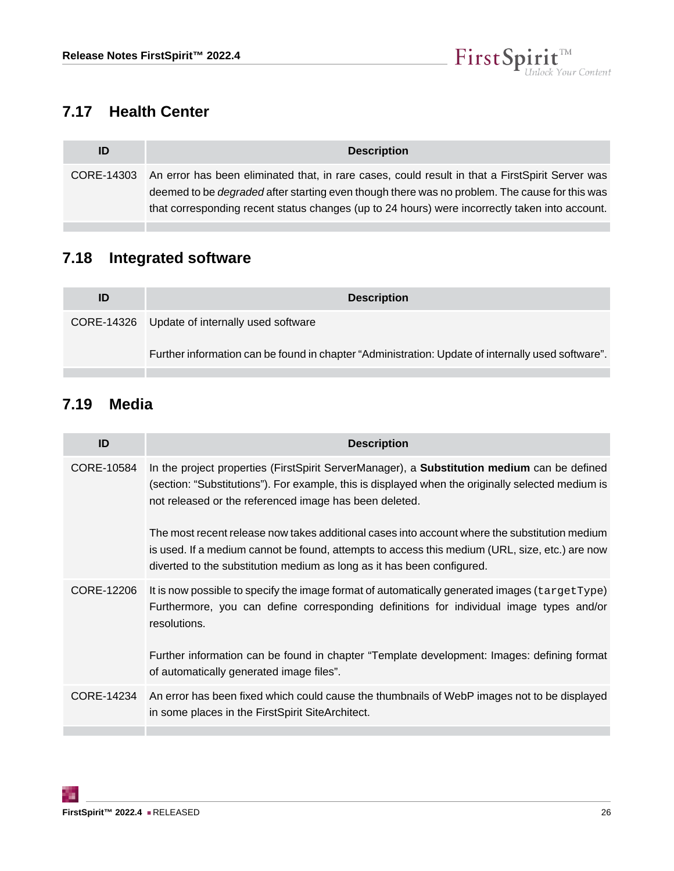

# <span id="page-25-0"></span>**7.17 Health Center**

| ID         | <b>Description</b>                                                                                                                                                                                                                                                                                         |
|------------|------------------------------------------------------------------------------------------------------------------------------------------------------------------------------------------------------------------------------------------------------------------------------------------------------------|
| CORE-14303 | An error has been eliminated that, in rare cases, could result in that a First Spirit Server was<br>deemed to be <i>degraded</i> after starting even though there was no problem. The cause for this was<br>that corresponding recent status changes (up to 24 hours) were incorrectly taken into account. |

# <span id="page-25-1"></span>**7.18 Integrated software**

| ID | <b>Description</b>                                                                                |
|----|---------------------------------------------------------------------------------------------------|
|    | CORE-14326 Update of internally used software                                                     |
|    | Further information can be found in chapter "Administration: Update of internally used software". |

# <span id="page-25-2"></span>**7.19 Media**

| ID         | <b>Description</b>                                                                                                                                                                                                                                                        |
|------------|---------------------------------------------------------------------------------------------------------------------------------------------------------------------------------------------------------------------------------------------------------------------------|
| CORE-10584 | In the project properties (FirstSpirit ServerManager), a <b>Substitution medium</b> can be defined<br>(section: "Substitutions"). For example, this is displayed when the originally selected medium is<br>not released or the referenced image has been deleted.         |
|            | The most recent release now takes additional cases into account where the substitution medium<br>is used. If a medium cannot be found, attempts to access this medium (URL, size, etc.) are now<br>diverted to the substitution medium as long as it has been configured. |
| CORE-12206 | It is now possible to specify the image format of automatically generated images (targetType)<br>Furthermore, you can define corresponding definitions for individual image types and/or<br>resolutions.                                                                  |
|            | Further information can be found in chapter "Template development: Images: defining format<br>of automatically generated image files".                                                                                                                                    |
| CORE-14234 | An error has been fixed which could cause the thumbnails of WebP images not to be displayed<br>in some places in the FirstSpirit SiteArchitect.                                                                                                                           |
|            |                                                                                                                                                                                                                                                                           |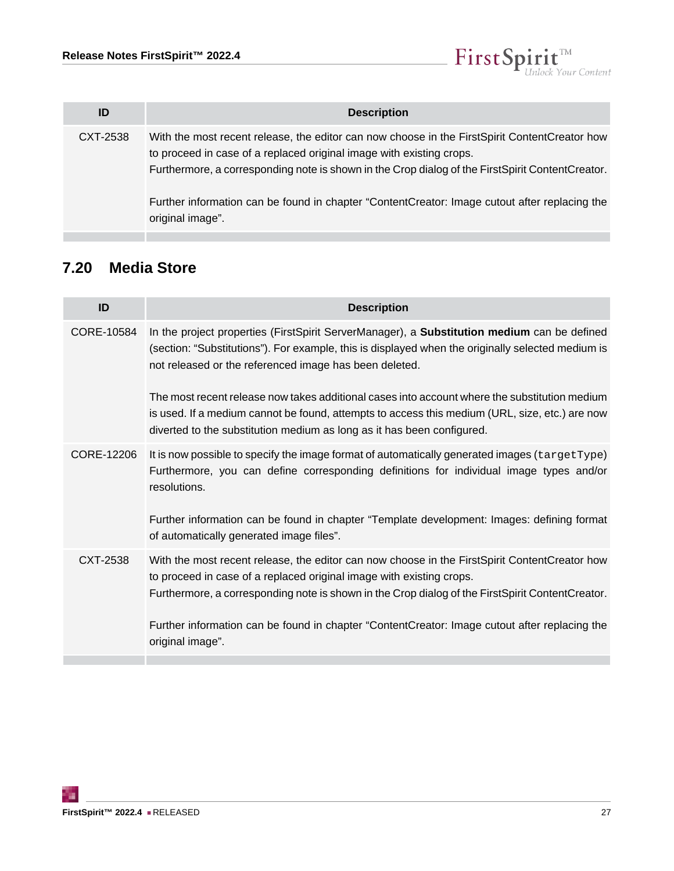

| ID       | <b>Description</b>                                                                                                                                                                                                                                                                                                                                                                                 |
|----------|----------------------------------------------------------------------------------------------------------------------------------------------------------------------------------------------------------------------------------------------------------------------------------------------------------------------------------------------------------------------------------------------------|
| CXT-2538 | With the most recent release, the editor can now choose in the First Spirit Content Creator how<br>to proceed in case of a replaced original image with existing crops.<br>Furthermore, a corresponding note is shown in the Crop dialog of the First Spirit Content Creator.<br>Further information can be found in chapter "ContentCreator: Image cutout after replacing the<br>original image". |

# <span id="page-26-0"></span>**7.20 Media Store**

| ID         | <b>Description</b>                                                                                                                                                                                                                                                          |
|------------|-----------------------------------------------------------------------------------------------------------------------------------------------------------------------------------------------------------------------------------------------------------------------------|
| CORE-10584 | In the project properties (FirstSpirit ServerManager), a <b>Substitution medium</b> can be defined<br>(section: "Substitutions"). For example, this is displayed when the originally selected medium is<br>not released or the referenced image has been deleted.           |
|            | The most recent release now takes additional cases into account where the substitution medium<br>is used. If a medium cannot be found, attempts to access this medium (URL, size, etc.) are now<br>diverted to the substitution medium as long as it has been configured.   |
| CORE-12206 | It is now possible to specify the image format of automatically generated images (targetType)<br>Furthermore, you can define corresponding definitions for individual image types and/or<br>resolutions.                                                                    |
|            | Further information can be found in chapter "Template development: Images: defining format<br>of automatically generated image files".                                                                                                                                      |
| CXT-2538   | With the most recent release, the editor can now choose in the First Spirit Content Creator how<br>to proceed in case of a replaced original image with existing crops.<br>Furthermore, a corresponding note is shown in the Crop dialog of the FirstSpirit ContentCreator. |
|            | Further information can be found in chapter "ContentCreator: Image cutout after replacing the<br>original image".                                                                                                                                                           |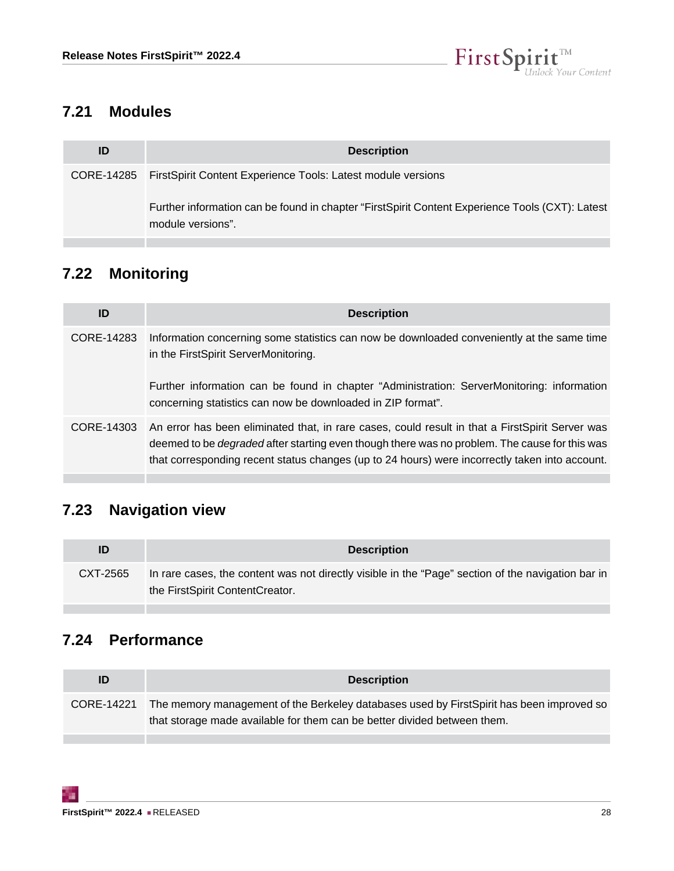

# <span id="page-27-0"></span>**7.21 Modules**

| ID | <b>Description</b>                                                                                                   |
|----|----------------------------------------------------------------------------------------------------------------------|
|    | CORE-14285 FirstSpirit Content Experience Tools: Latest module versions                                              |
|    | Further information can be found in chapter "FirstSpirit Content Experience Tools (CXT): Latest<br>module versions". |

# <span id="page-27-1"></span>**7.22 Monitoring**

| ID         | <b>Description</b>                                                                                                                                                                                                                                                                                                   |
|------------|----------------------------------------------------------------------------------------------------------------------------------------------------------------------------------------------------------------------------------------------------------------------------------------------------------------------|
| CORE-14283 | Information concerning some statistics can now be downloaded conveniently at the same time<br>in the FirstSpirit ServerMonitoring.                                                                                                                                                                                   |
|            | Further information can be found in chapter "Administration: ServerMonitoring: information<br>concerning statistics can now be downloaded in ZIP format".                                                                                                                                                            |
|            | CORE-14303 An error has been eliminated that, in rare cases, could result in that a FirstSpirit Server was<br>deemed to be <i>degraded</i> after starting even though there was no problem. The cause for this was<br>that corresponding recent status changes (up to 24 hours) were incorrectly taken into account. |

# <span id="page-27-2"></span>**7.23 Navigation view**

| ID       | <b>Description</b>                                                                                                                    |
|----------|---------------------------------------------------------------------------------------------------------------------------------------|
| CXT-2565 | In rare cases, the content was not directly visible in the "Page" section of the navigation bar in<br>the FirstSpirit ContentCreator. |

# <span id="page-27-3"></span>**7.24 Performance**

| ID         | <b>Description</b>                                                                                                                                                   |
|------------|----------------------------------------------------------------------------------------------------------------------------------------------------------------------|
| CORE-14221 | The memory management of the Berkeley databases used by FirstSpirit has been improved so<br>that storage made available for them can be better divided between them. |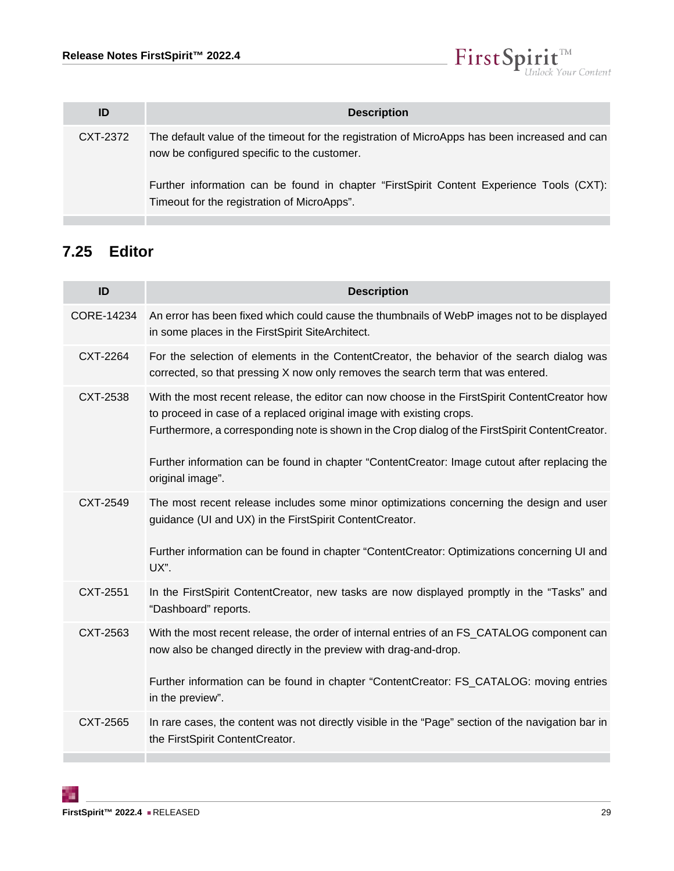

| ID       | <b>Description</b>                                                                                                                                                                                                                       |
|----------|------------------------------------------------------------------------------------------------------------------------------------------------------------------------------------------------------------------------------------------|
| CXT-2372 | The default value of the timeout for the registration of MicroApps has been increased and can<br>now be configured specific to the customer.<br>Further information can be found in chapter "FirstSpirit Content Experience Tools (CXT): |
|          | Timeout for the registration of MicroApps".                                                                                                                                                                                              |

# <span id="page-28-0"></span>**7.25 Editor**

| ID         | <b>Description</b>                                                                                                                                                                                                                                                                                                                                                                             |
|------------|------------------------------------------------------------------------------------------------------------------------------------------------------------------------------------------------------------------------------------------------------------------------------------------------------------------------------------------------------------------------------------------------|
| CORE-14234 | An error has been fixed which could cause the thumbnails of WebP images not to be displayed<br>in some places in the FirstSpirit SiteArchitect.                                                                                                                                                                                                                                                |
| CXT-2264   | For the selection of elements in the ContentCreator, the behavior of the search dialog was<br>corrected, so that pressing X now only removes the search term that was entered.                                                                                                                                                                                                                 |
| CXT-2538   | With the most recent release, the editor can now choose in the FirstSpirit ContentCreator how<br>to proceed in case of a replaced original image with existing crops.<br>Furthermore, a corresponding note is shown in the Crop dialog of the FirstSpirit ContentCreator.<br>Further information can be found in chapter "ContentCreator: Image cutout after replacing the<br>original image". |
| CXT-2549   | The most recent release includes some minor optimizations concerning the design and user<br>guidance (UI and UX) in the FirstSpirit ContentCreator.<br>Further information can be found in chapter "ContentCreator: Optimizations concerning UI and<br>UX".                                                                                                                                    |
| CXT-2551   | In the FirstSpirit ContentCreator, new tasks are now displayed promptly in the "Tasks" and<br>"Dashboard" reports.                                                                                                                                                                                                                                                                             |
| CXT-2563   | With the most recent release, the order of internal entries of an FS_CATALOG component can<br>now also be changed directly in the preview with drag-and-drop.<br>Further information can be found in chapter "ContentCreator: FS_CATALOG: moving entries<br>in the preview".                                                                                                                   |
| CXT-2565   | In rare cases, the content was not directly visible in the "Page" section of the navigation bar in<br>the FirstSpirit ContentCreator.                                                                                                                                                                                                                                                          |

51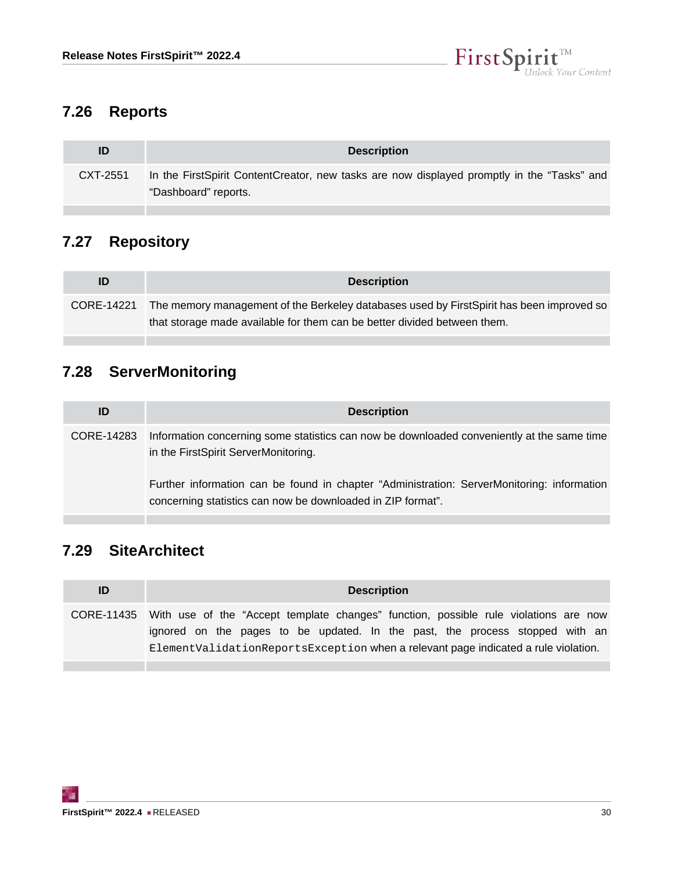

# <span id="page-29-0"></span>**7.26 Reports**

|          | <b>Description</b>                                                                                                 |
|----------|--------------------------------------------------------------------------------------------------------------------|
| CXT-2551 | In the FirstSpirit ContentCreator, new tasks are now displayed promptly in the "Tasks" and<br>"Dashboard" reports. |
|          |                                                                                                                    |

# <span id="page-29-1"></span>**7.27 Repository**

| ID         | <b>Description</b>                                                                                                                                                   |
|------------|----------------------------------------------------------------------------------------------------------------------------------------------------------------------|
| CORE-14221 | The memory management of the Berkeley databases used by FirstSpirit has been improved so<br>that storage made available for them can be better divided between them. |

# <span id="page-29-2"></span>**7.28 ServerMonitoring**

| ID         | <b>Description</b>                                                                                                                                        |
|------------|-----------------------------------------------------------------------------------------------------------------------------------------------------------|
| CORE-14283 | Information concerning some statistics can now be downloaded conveniently at the same time<br>in the FirstSpirit ServerMonitoring.                        |
|            | Further information can be found in chapter "Administration: ServerMonitoring: information<br>concerning statistics can now be downloaded in ZIP format". |

# <span id="page-29-3"></span>**7.29 SiteArchitect**

| ID         | <b>Description</b>                                                                                                                                                                                                                                            |
|------------|---------------------------------------------------------------------------------------------------------------------------------------------------------------------------------------------------------------------------------------------------------------|
| CORE-11435 | With use of the "Accept template changes" function, possible rule violations are now<br>ignored on the pages to be updated. In the past, the process stopped with an<br>Element Validation Reports Exception when a relevant page indicated a rule violation. |